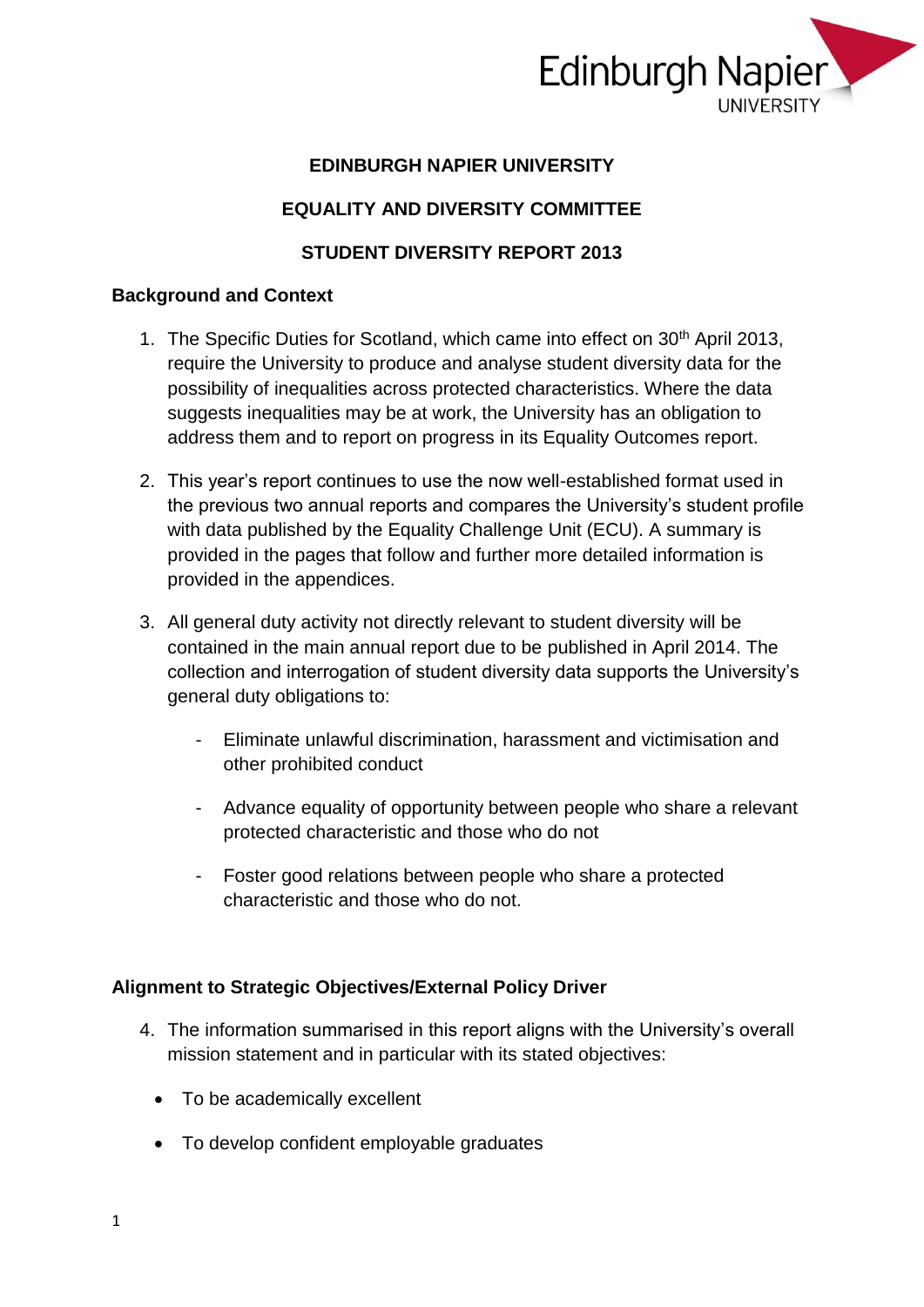

### **EDINBURGH NAPIER UNIVERSITY**

## **EQUALITY AND DIVERSITY COMMITTEE**

### **STUDENT DIVERSITY REPORT 2013**

#### **Background and Context**

- 1. The Specific Duties for Scotland, which came into effect on 30<sup>th</sup> April 2013, require the University to produce and analyse student diversity data for the possibility of inequalities across protected characteristics. Where the data suggests inequalities may be at work, the University has an obligation to address them and to report on progress in its Equality Outcomes report.
- 2. This year's report continues to use the now well-established format used in the previous two annual reports and compares the University's student profile with data published by the Equality Challenge Unit (ECU). A summary is provided in the pages that follow and further more detailed information is provided in the appendices.
- 3. All general duty activity not directly relevant to student diversity will be contained in the main annual report due to be published in April 2014. The collection and interrogation of student diversity data supports the University's general duty obligations to:
	- Eliminate unlawful discrimination, harassment and victimisation and other prohibited conduct
	- Advance equality of opportunity between people who share a relevant protected characteristic and those who do not
	- Foster good relations between people who share a protected characteristic and those who do not.

#### **Alignment to Strategic Objectives/External Policy Driver**

- 4. The information summarised in this report aligns with the University's overall mission statement and in particular with its stated objectives:
	- To be academically excellent
	- To develop confident employable graduates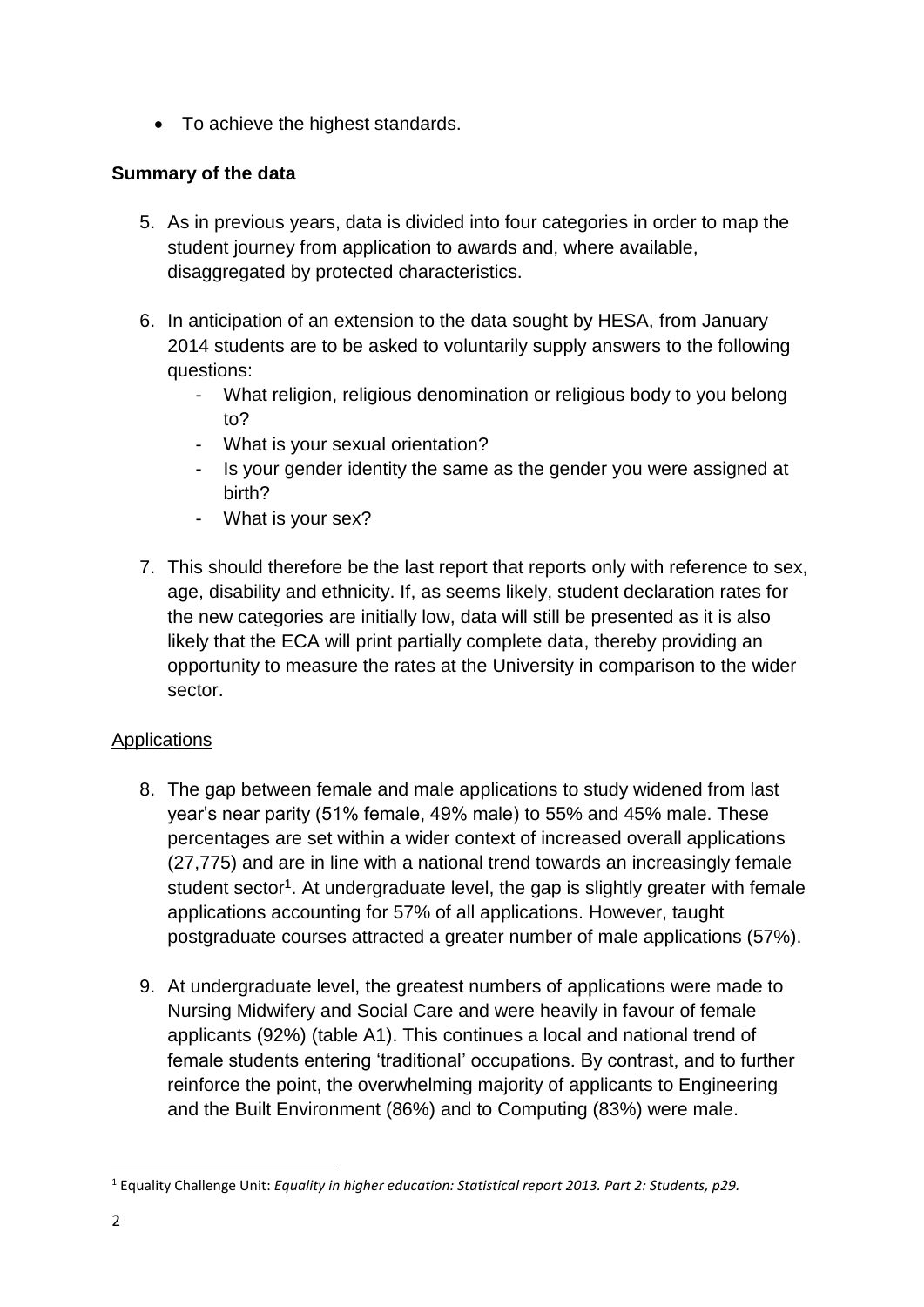• To achieve the highest standards.

## **Summary of the data**

- 5. As in previous years, data is divided into four categories in order to map the student journey from application to awards and, where available, disaggregated by protected characteristics.
- 6. In anticipation of an extension to the data sought by HESA, from January 2014 students are to be asked to voluntarily supply answers to the following questions:
	- What religion, religious denomination or religious body to you belong to?
	- What is your sexual orientation?
	- Is your gender identity the same as the gender you were assigned at birth?
	- What is your sex?
- 7. This should therefore be the last report that reports only with reference to sex, age, disability and ethnicity. If, as seems likely, student declaration rates for the new categories are initially low, data will still be presented as it is also likely that the ECA will print partially complete data, thereby providing an opportunity to measure the rates at the University in comparison to the wider sector.

## **Applications**

- 8. The gap between female and male applications to study widened from last year's near parity (51% female, 49% male) to 55% and 45% male. These percentages are set within a wider context of increased overall applications (27,775) and are in line with a national trend towards an increasingly female student sector<sup>1</sup>. At undergraduate level, the gap is slightly greater with female applications accounting for 57% of all applications. However, taught postgraduate courses attracted a greater number of male applications (57%).
- 9. At undergraduate level, the greatest numbers of applications were made to Nursing Midwifery and Social Care and were heavily in favour of female applicants (92%) (table A1). This continues a local and national trend of female students entering 'traditional' occupations. By contrast, and to further reinforce the point, the overwhelming majority of applicants to Engineering and the Built Environment (86%) and to Computing (83%) were male.

**.** 

<sup>1</sup> Equality Challenge Unit: *Equality in higher education: Statistical report 2013. Part 2: Students, p29.*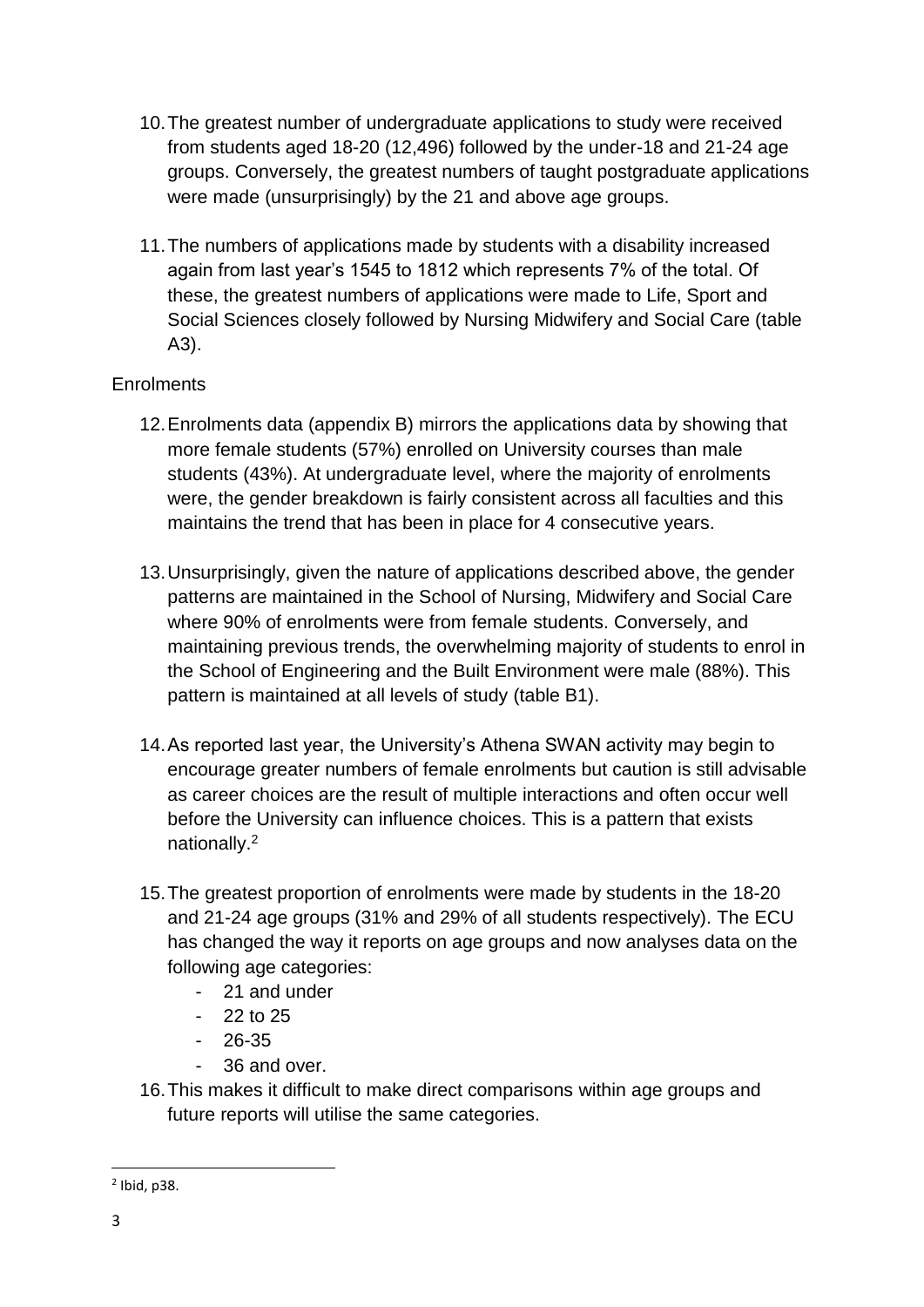- 10.The greatest number of undergraduate applications to study were received from students aged 18-20 (12,496) followed by the under-18 and 21-24 age groups. Conversely, the greatest numbers of taught postgraduate applications were made (unsurprisingly) by the 21 and above age groups.
- 11.The numbers of applications made by students with a disability increased again from last year's 1545 to 1812 which represents 7% of the total. Of these, the greatest numbers of applications were made to Life, Sport and Social Sciences closely followed by Nursing Midwifery and Social Care (table A3).

## **Enrolments**

- 12.Enrolments data (appendix B) mirrors the applications data by showing that more female students (57%) enrolled on University courses than male students (43%). At undergraduate level, where the majority of enrolments were, the gender breakdown is fairly consistent across all faculties and this maintains the trend that has been in place for 4 consecutive years.
- 13.Unsurprisingly, given the nature of applications described above, the gender patterns are maintained in the School of Nursing, Midwifery and Social Care where 90% of enrolments were from female students. Conversely, and maintaining previous trends, the overwhelming majority of students to enrol in the School of Engineering and the Built Environment were male (88%). This pattern is maintained at all levels of study (table B1).
- 14.As reported last year, the University's Athena SWAN activity may begin to encourage greater numbers of female enrolments but caution is still advisable as career choices are the result of multiple interactions and often occur well before the University can influence choices. This is a pattern that exists nationally.<sup>2</sup>
- 15.The greatest proportion of enrolments were made by students in the 18-20 and 21-24 age groups (31% and 29% of all students respectively). The ECU has changed the way it reports on age groups and now analyses data on the following age categories:
	- 21 and under
	- $-22$  to 25
	- 26-35
	- 36 and over.
- 16.This makes it difficult to make direct comparisons within age groups and future reports will utilise the same categories.

**.** 

<sup>2</sup> Ibid, p38.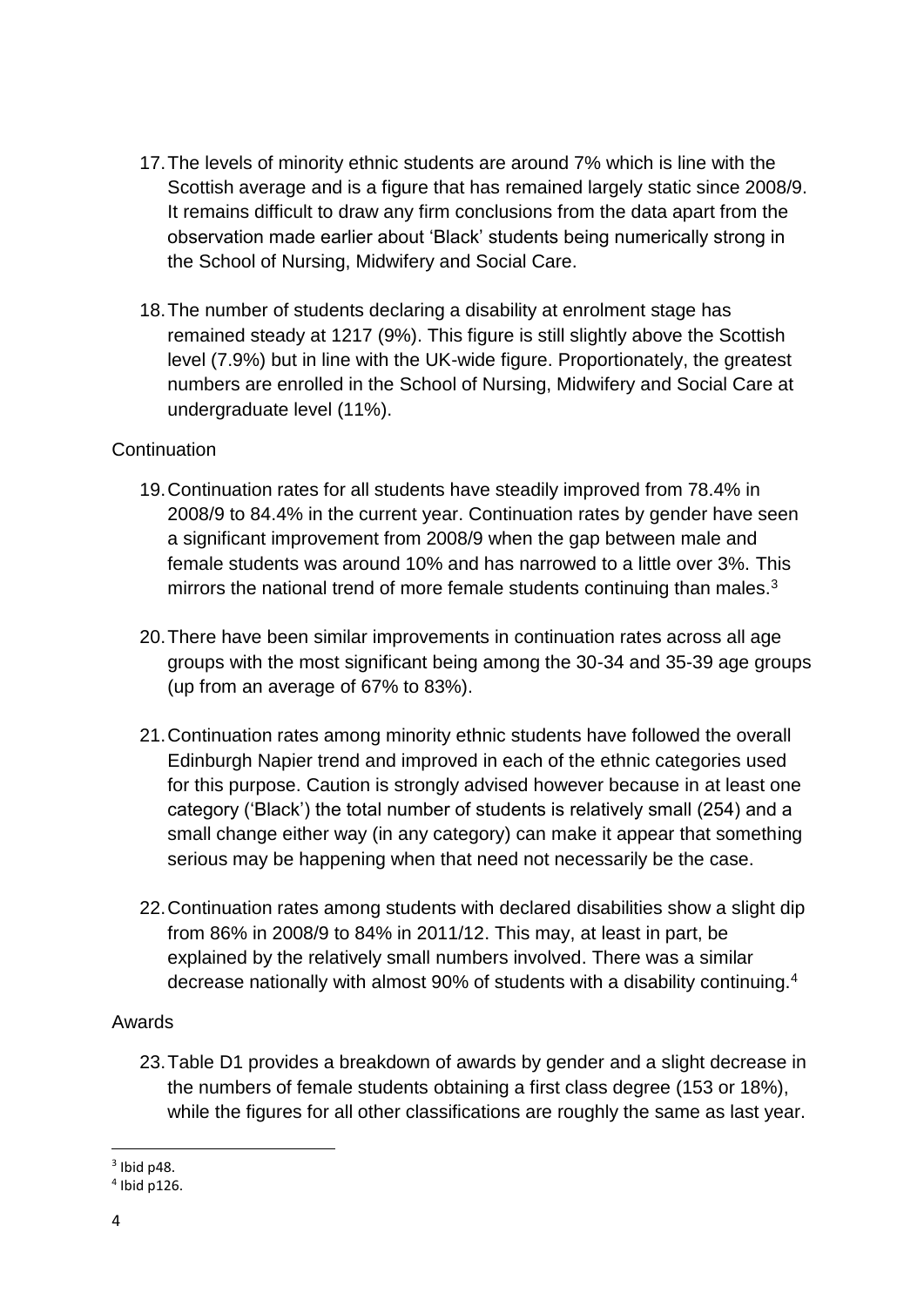- 17.The levels of minority ethnic students are around 7% which is line with the Scottish average and is a figure that has remained largely static since 2008/9. It remains difficult to draw any firm conclusions from the data apart from the observation made earlier about 'Black' students being numerically strong in the School of Nursing, Midwifery and Social Care.
- 18.The number of students declaring a disability at enrolment stage has remained steady at 1217 (9%). This figure is still slightly above the Scottish level (7.9%) but in line with the UK-wide figure. Proportionately, the greatest numbers are enrolled in the School of Nursing, Midwifery and Social Care at undergraduate level (11%).

#### **Continuation**

- 19.Continuation rates for all students have steadily improved from 78.4% in 2008/9 to 84.4% in the current year. Continuation rates by gender have seen a significant improvement from 2008/9 when the gap between male and female students was around 10% and has narrowed to a little over 3%. This mirrors the national trend of more female students continuing than males.<sup>3</sup>
- 20.There have been similar improvements in continuation rates across all age groups with the most significant being among the 30-34 and 35-39 age groups (up from an average of 67% to 83%).
- 21.Continuation rates among minority ethnic students have followed the overall Edinburgh Napier trend and improved in each of the ethnic categories used for this purpose. Caution is strongly advised however because in at least one category ('Black') the total number of students is relatively small (254) and a small change either way (in any category) can make it appear that something serious may be happening when that need not necessarily be the case.
- 22.Continuation rates among students with declared disabilities show a slight dip from 86% in 2008/9 to 84% in 2011/12. This may, at least in part, be explained by the relatively small numbers involved. There was a similar decrease nationally with almost 90% of students with a disability continuing.<sup>4</sup>

#### Awards

23.Table D1 provides a breakdown of awards by gender and a slight decrease in the numbers of female students obtaining a first class degree (153 or 18%), while the figures for all other classifications are roughly the same as last year.

**.** 

 $3$  Ibid p48.

<sup>4</sup> Ibid p126.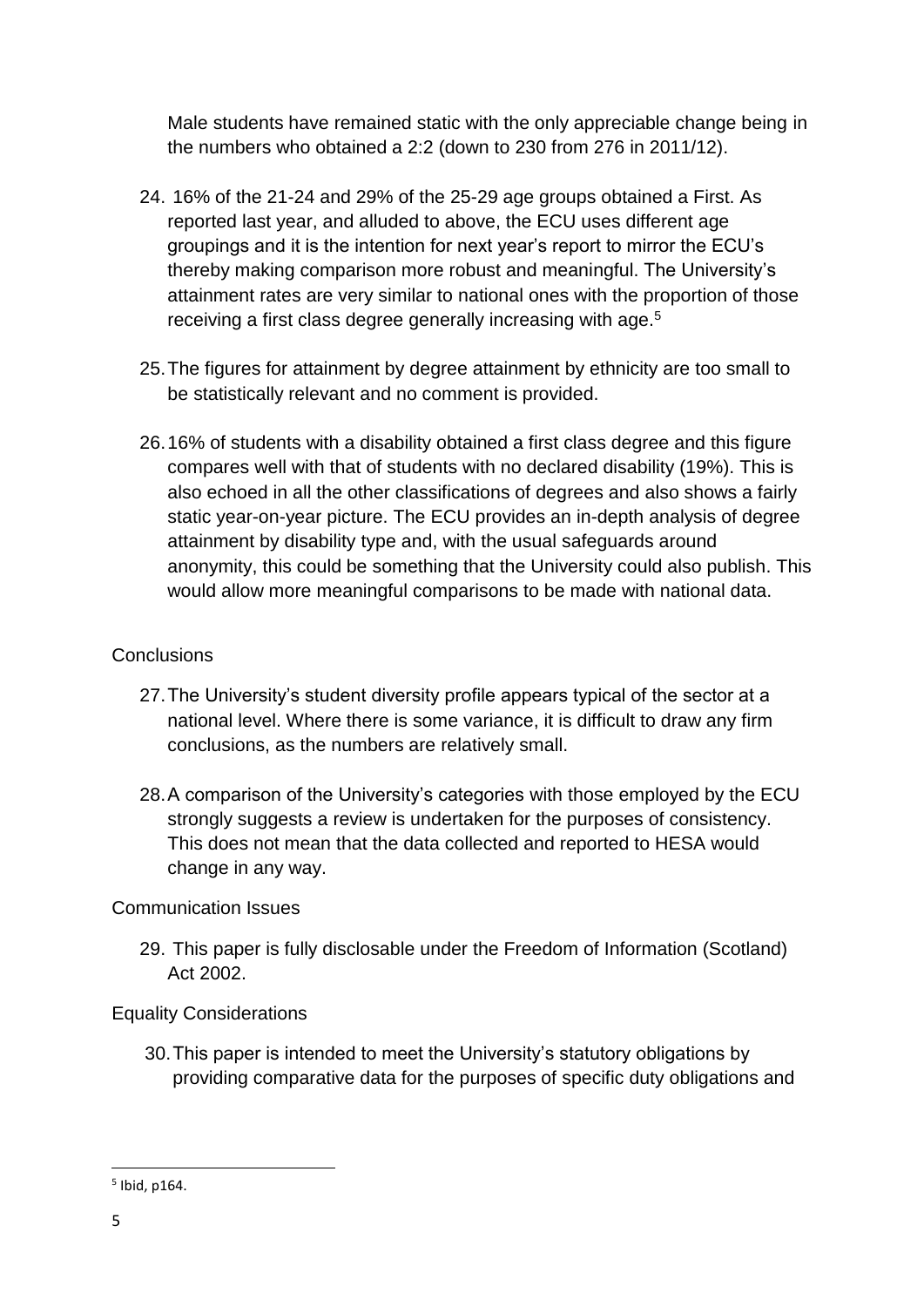Male students have remained static with the only appreciable change being in the numbers who obtained a 2:2 (down to 230 from 276 in 2011/12).

- 24. 16% of the 21-24 and 29% of the 25-29 age groups obtained a First. As reported last year, and alluded to above, the ECU uses different age groupings and it is the intention for next year's report to mirror the ECU's thereby making comparison more robust and meaningful. The University's attainment rates are very similar to national ones with the proportion of those receiving a first class degree generally increasing with age.<sup>5</sup>
- 25.The figures for attainment by degree attainment by ethnicity are too small to be statistically relevant and no comment is provided.
- 26.16% of students with a disability obtained a first class degree and this figure compares well with that of students with no declared disability (19%). This is also echoed in all the other classifications of degrees and also shows a fairly static year-on-year picture. The ECU provides an in-depth analysis of degree attainment by disability type and, with the usual safeguards around anonymity, this could be something that the University could also publish. This would allow more meaningful comparisons to be made with national data.

### **Conclusions**

- 27.The University's student diversity profile appears typical of the sector at a national level. Where there is some variance, it is difficult to draw any firm conclusions, as the numbers are relatively small.
- 28.A comparison of the University's categories with those employed by the ECU strongly suggests a review is undertaken for the purposes of consistency. This does not mean that the data collected and reported to HESA would change in any way.

## Communication Issues

29. This paper is fully disclosable under the Freedom of Information (Scotland) Act 2002.

## Equality Considerations

30.This paper is intended to meet the University's statutory obligations by providing comparative data for the purposes of specific duty obligations and

**<sup>.</sup>** 5 Ibid, p164.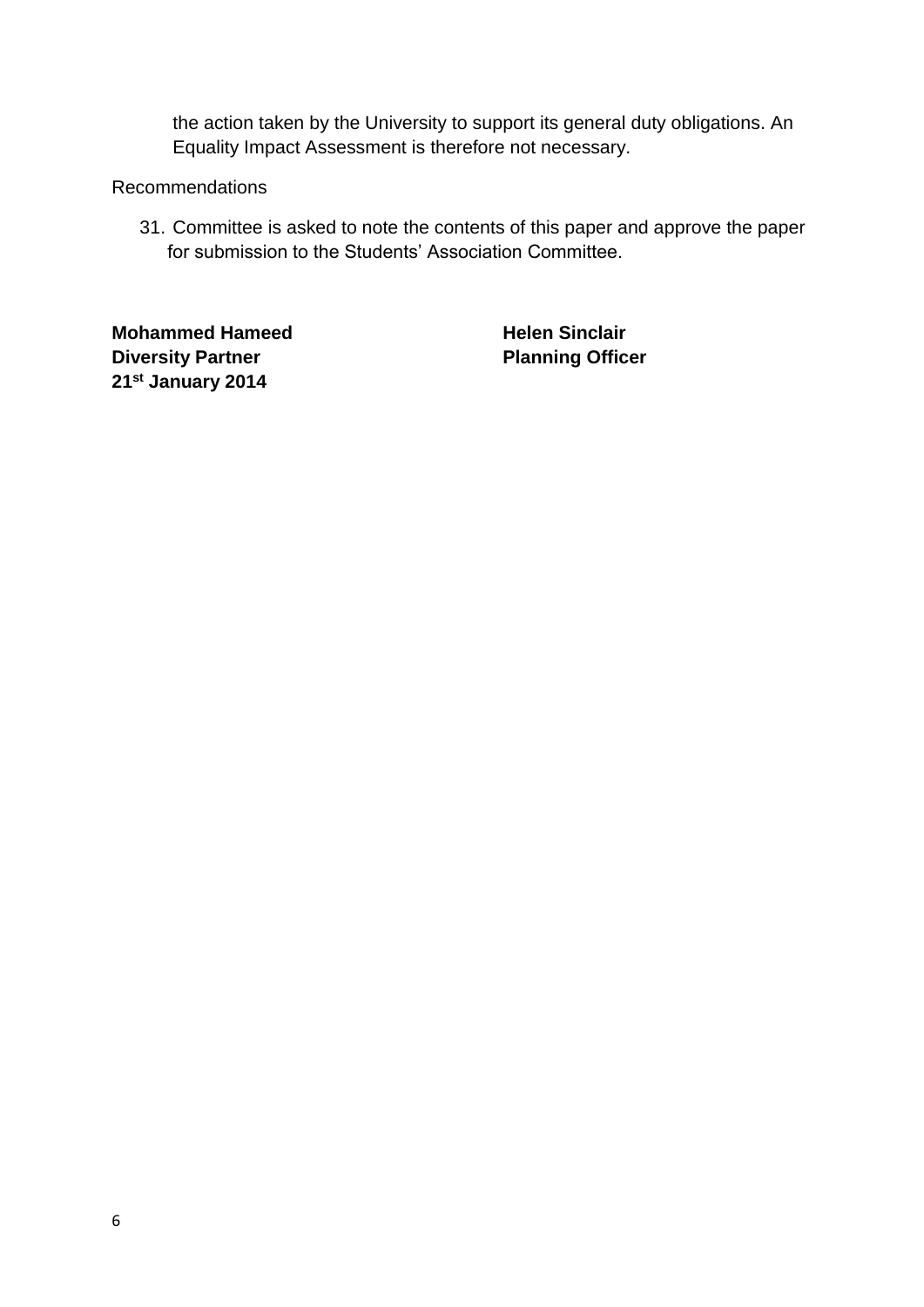the action taken by the University to support its general duty obligations. An Equality Impact Assessment is therefore not necessary.

#### Recommendations

31. Committee is asked to note the contents of this paper and approve the paper for submission to the Students' Association Committee.

**Mohammed Hameed Helen Sinclair Diversity Partner Planning Officer 21st January 2014**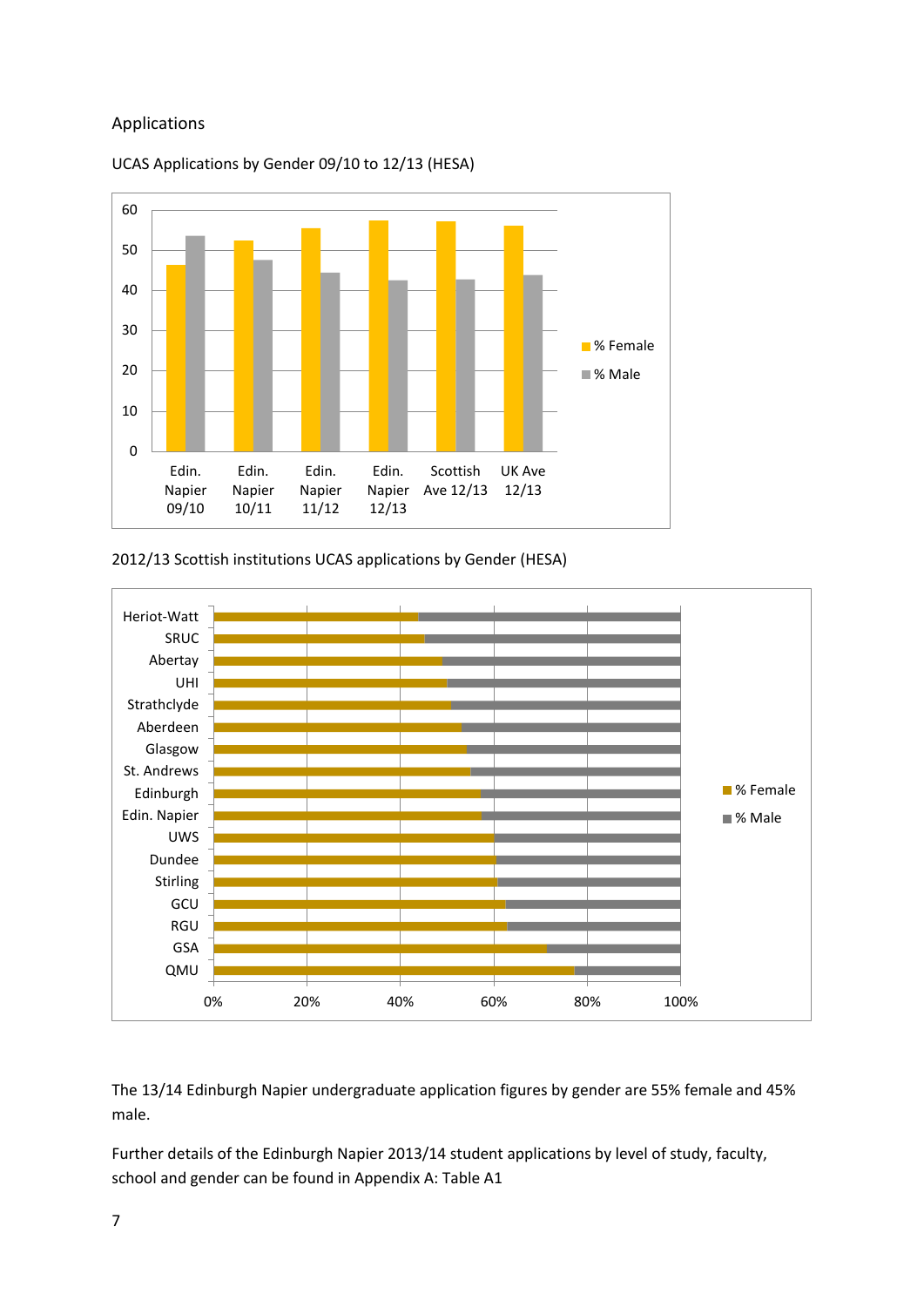#### Applications



UCAS Applications by Gender 09/10 to 12/13 (HESA)

2012/13 Scottish institutions UCAS applications by Gender (HESA)



The 13/14 Edinburgh Napier undergraduate application figures by gender are 55% female and 45% male.

Further details of the Edinburgh Napier 2013/14 student applications by level of study, faculty, school and gender can be found in Appendix A: Table A1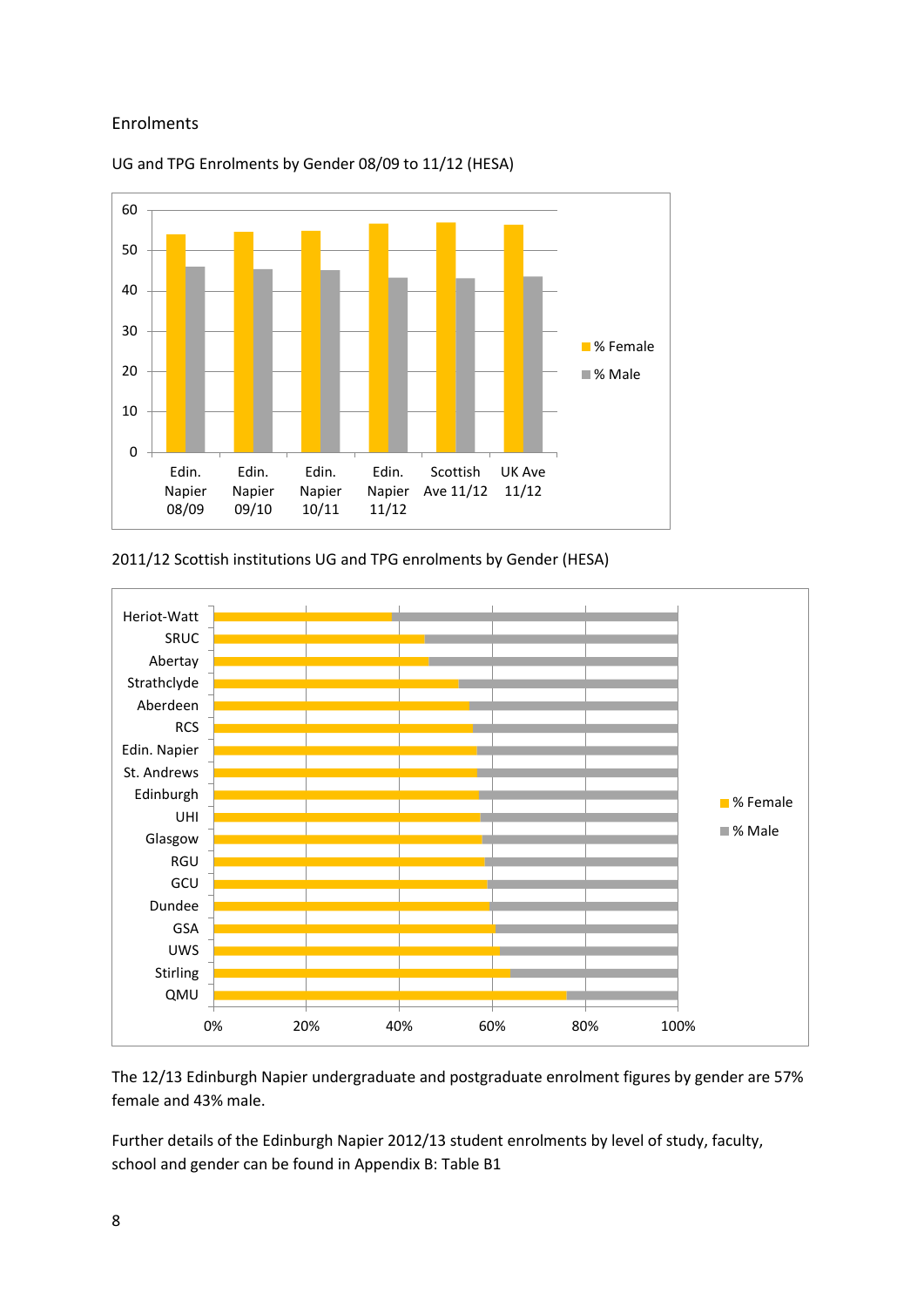#### Enrolments



#### UG and TPG Enrolments by Gender 08/09 to 11/12 (HESA)

2011/12 Scottish institutions UG and TPG enrolments by Gender (HESA)



The 12/13 Edinburgh Napier undergraduate and postgraduate enrolment figures by gender are 57% female and 43% male.

Further details of the Edinburgh Napier 2012/13 student enrolments by level of study, faculty, school and gender can be found in Appendix B: Table B1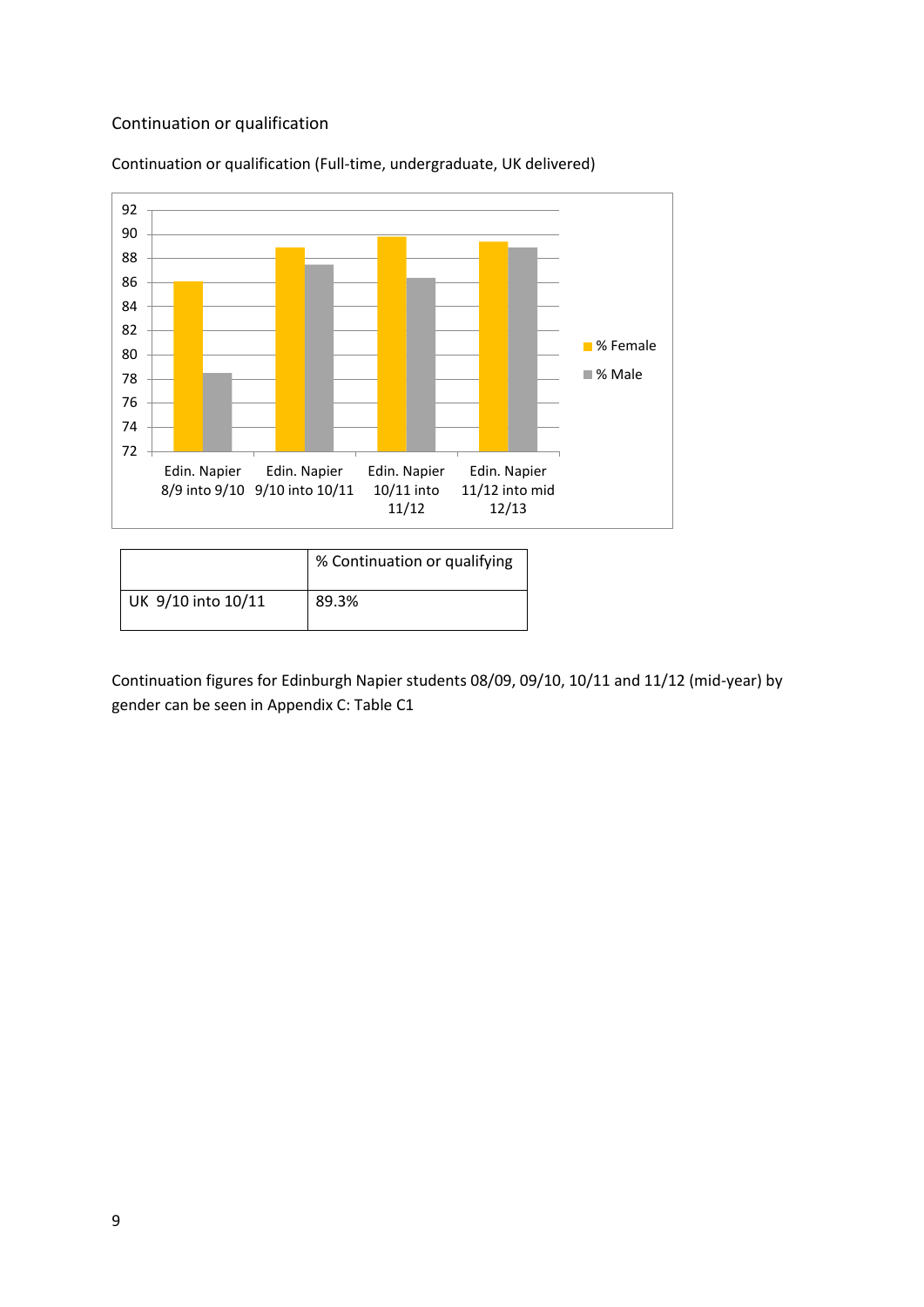#### Continuation or qualification



Continuation or qualification (Full-time, undergraduate, UK delivered)

|                    | % Continuation or qualifying |
|--------------------|------------------------------|
| UK 9/10 into 10/11 | 89.3%                        |

Continuation figures for Edinburgh Napier students 08/09, 09/10, 10/11 and 11/12 (mid-year) by gender can be seen in Appendix C: Table C1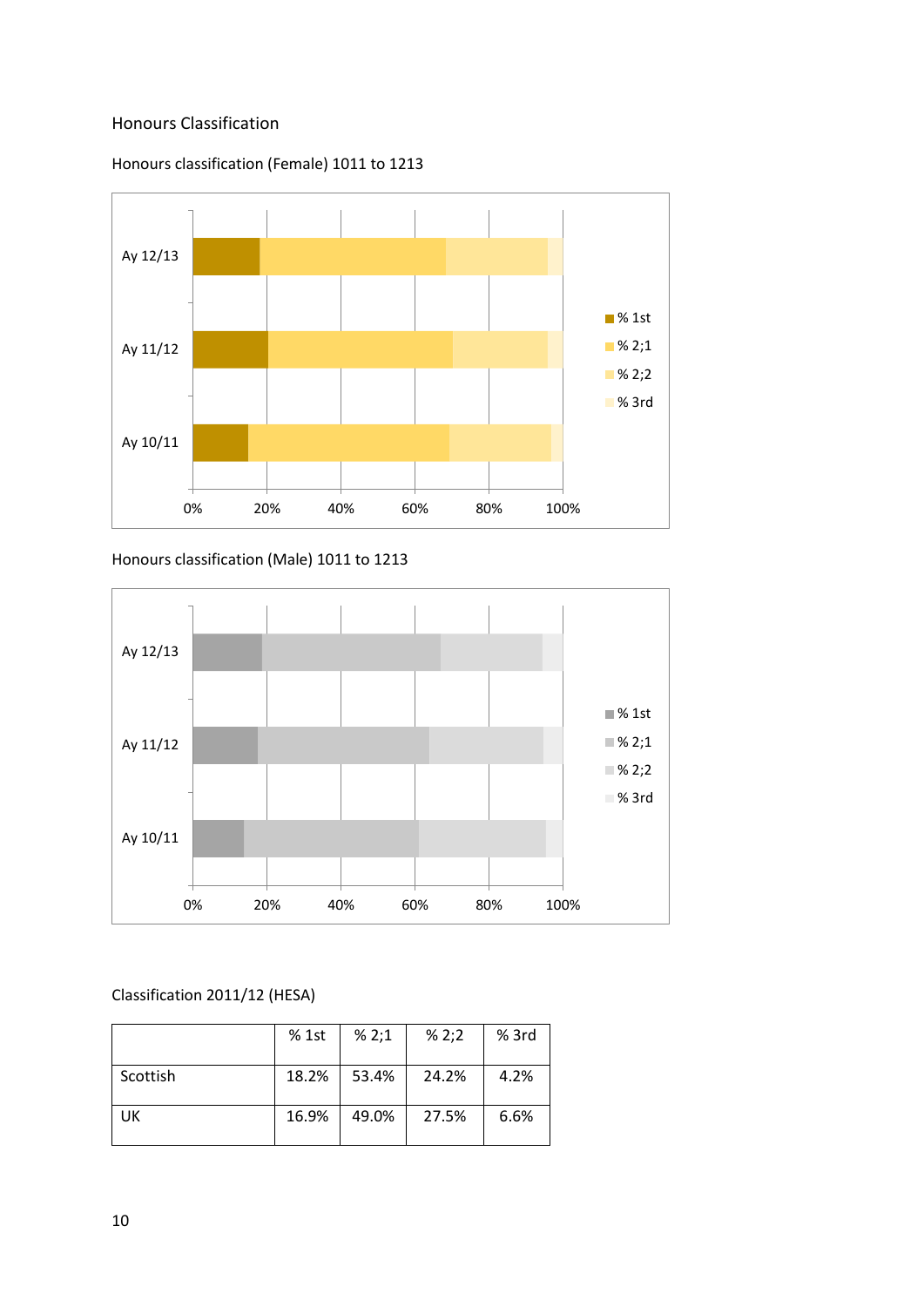#### Honours Classification





Honours classification (Male) 1011 to 1213



#### Classification 2011/12 (HESA)

|          | % 1st | % 2;1 | % 2;2 | $%$ 3rd |
|----------|-------|-------|-------|---------|
| Scottish | 18.2% | 53.4% | 24.2% | 4.2%    |
| UK       | 16.9% | 49.0% | 27.5% | 6.6%    |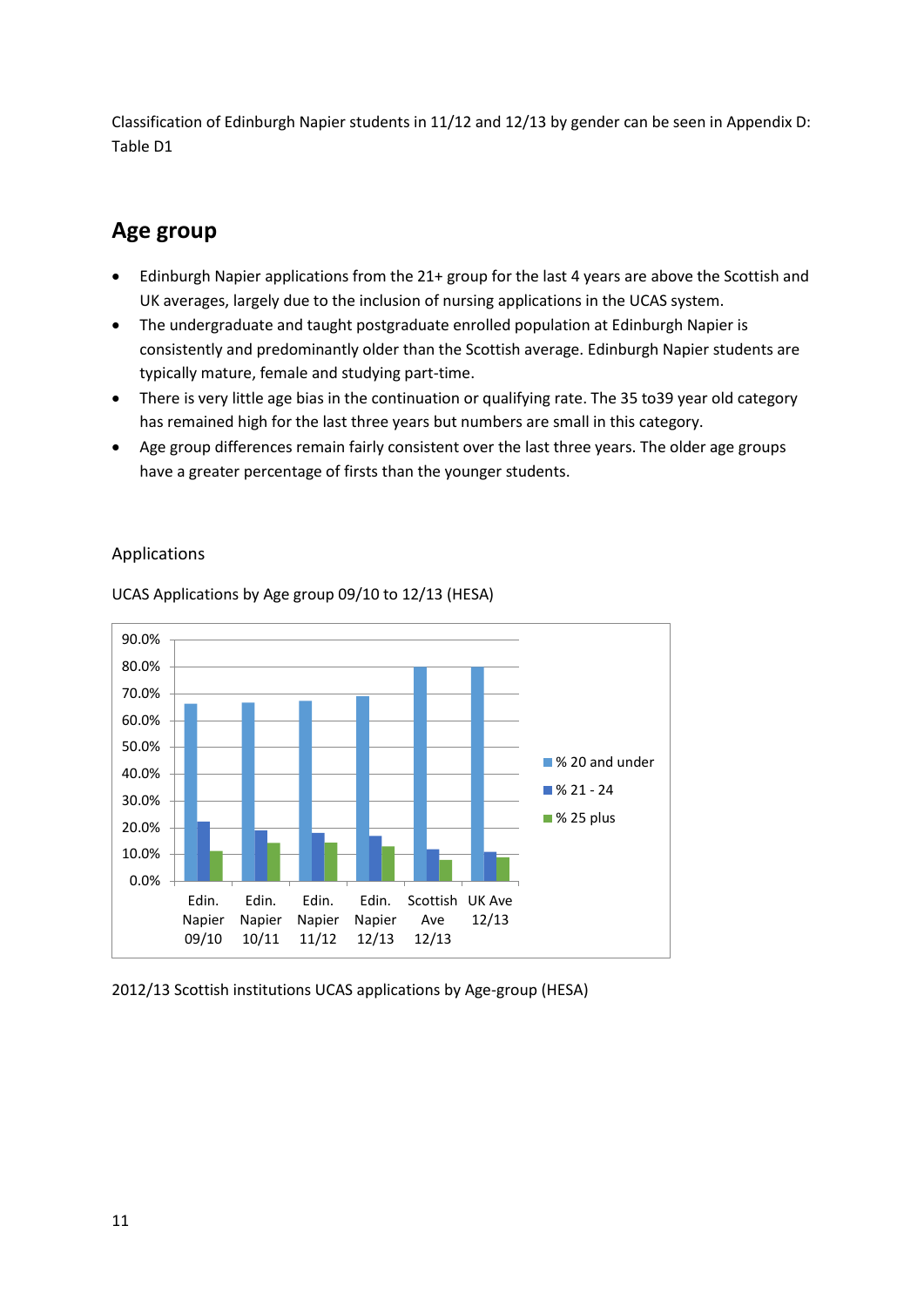Classification of Edinburgh Napier students in 11/12 and 12/13 by gender can be seen in Appendix D: Table D1

# **Age group**

- Edinburgh Napier applications from the 21+ group for the last 4 years are above the Scottish and UK averages, largely due to the inclusion of nursing applications in the UCAS system.
- The undergraduate and taught postgraduate enrolled population at Edinburgh Napier is consistently and predominantly older than the Scottish average. Edinburgh Napier students are typically mature, female and studying part-time.
- There is very little age bias in the continuation or qualifying rate. The 35 to39 year old category has remained high for the last three years but numbers are small in this category.
- Age group differences remain fairly consistent over the last three years. The older age groups have a greater percentage of firsts than the younger students.



#### Applications

UCAS Applications by Age group 09/10 to 12/13 (HESA)

2012/13 Scottish institutions UCAS applications by Age-group (HESA)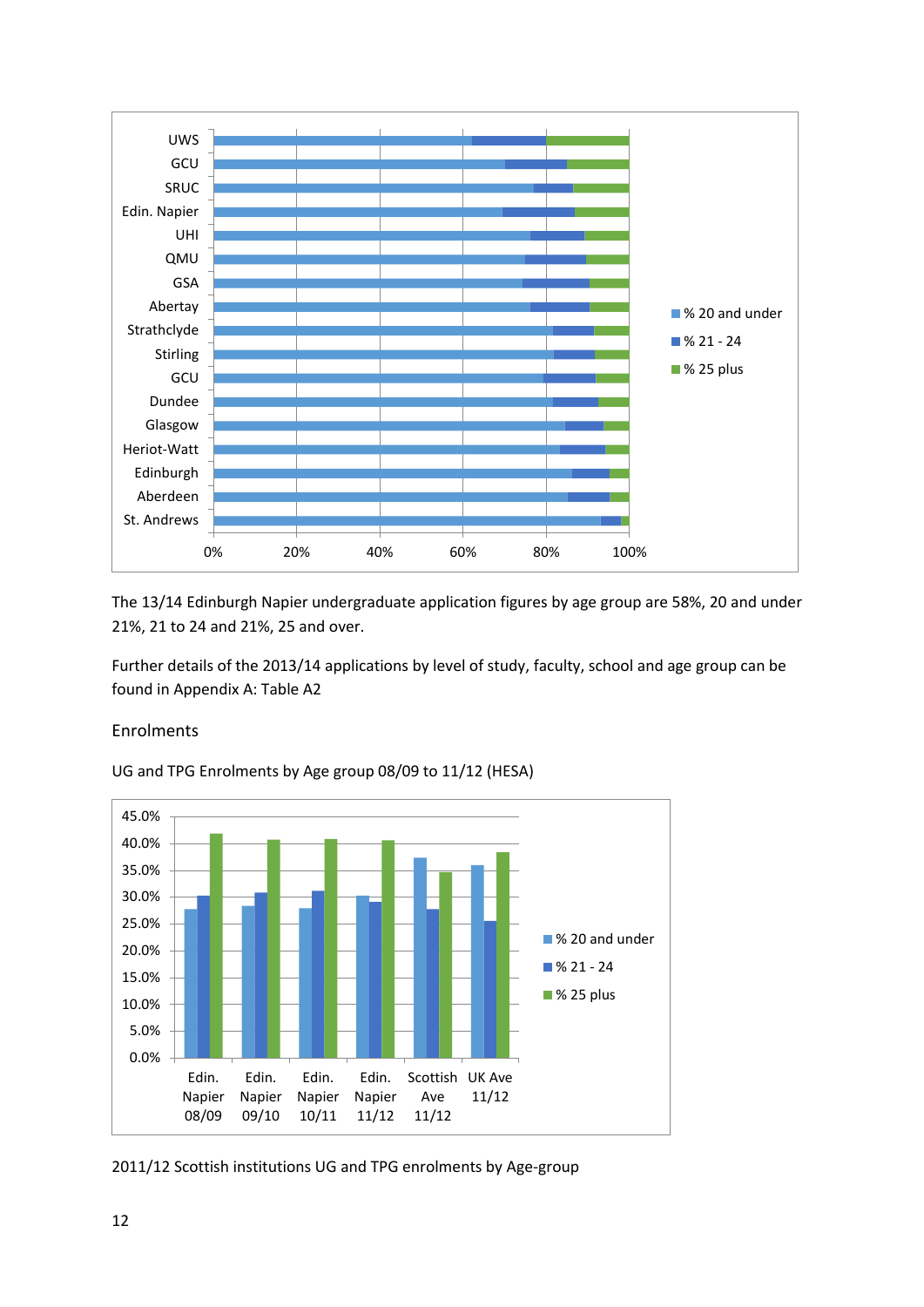

The 13/14 Edinburgh Napier undergraduate application figures by age group are 58%, 20 and under 21%, 21 to 24 and 21%, 25 and over.

Further details of the 2013/14 applications by level of study, faculty, school and age group can be found in Appendix A: Table A2

#### Enrolments



UG and TPG Enrolments by Age group 08/09 to 11/12 (HESA)

2011/12 Scottish institutions UG and TPG enrolments by Age-group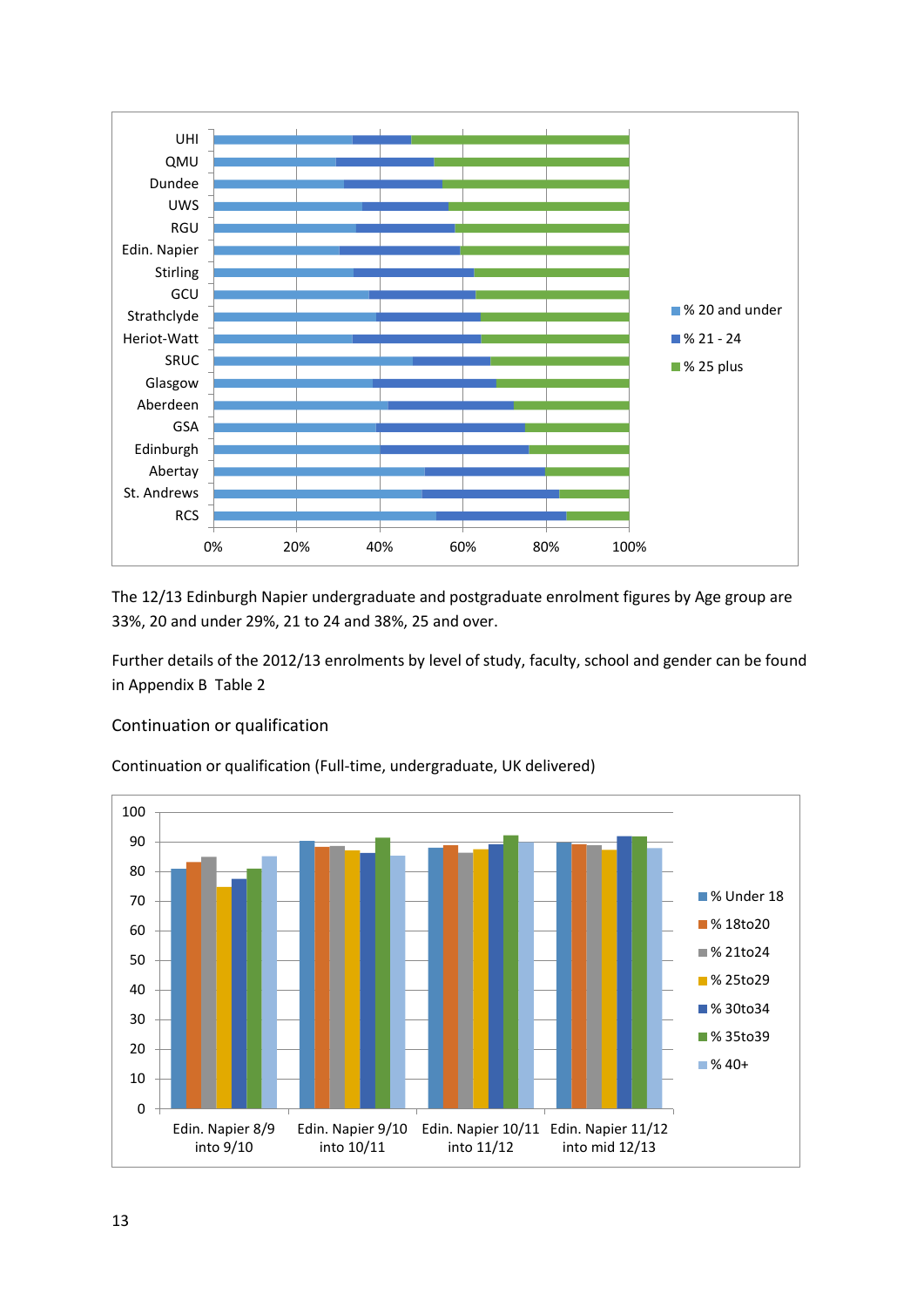

The 12/13 Edinburgh Napier undergraduate and postgraduate enrolment figures by Age group are 33%, 20 and under 29%, 21 to 24 and 38%, 25 and over.

Further details of the 2012/13 enrolments by level of study, faculty, school and gender can be found in Appendix B Table 2

#### Continuation or qualification

Continuation or qualification (Full-time, undergraduate, UK delivered)

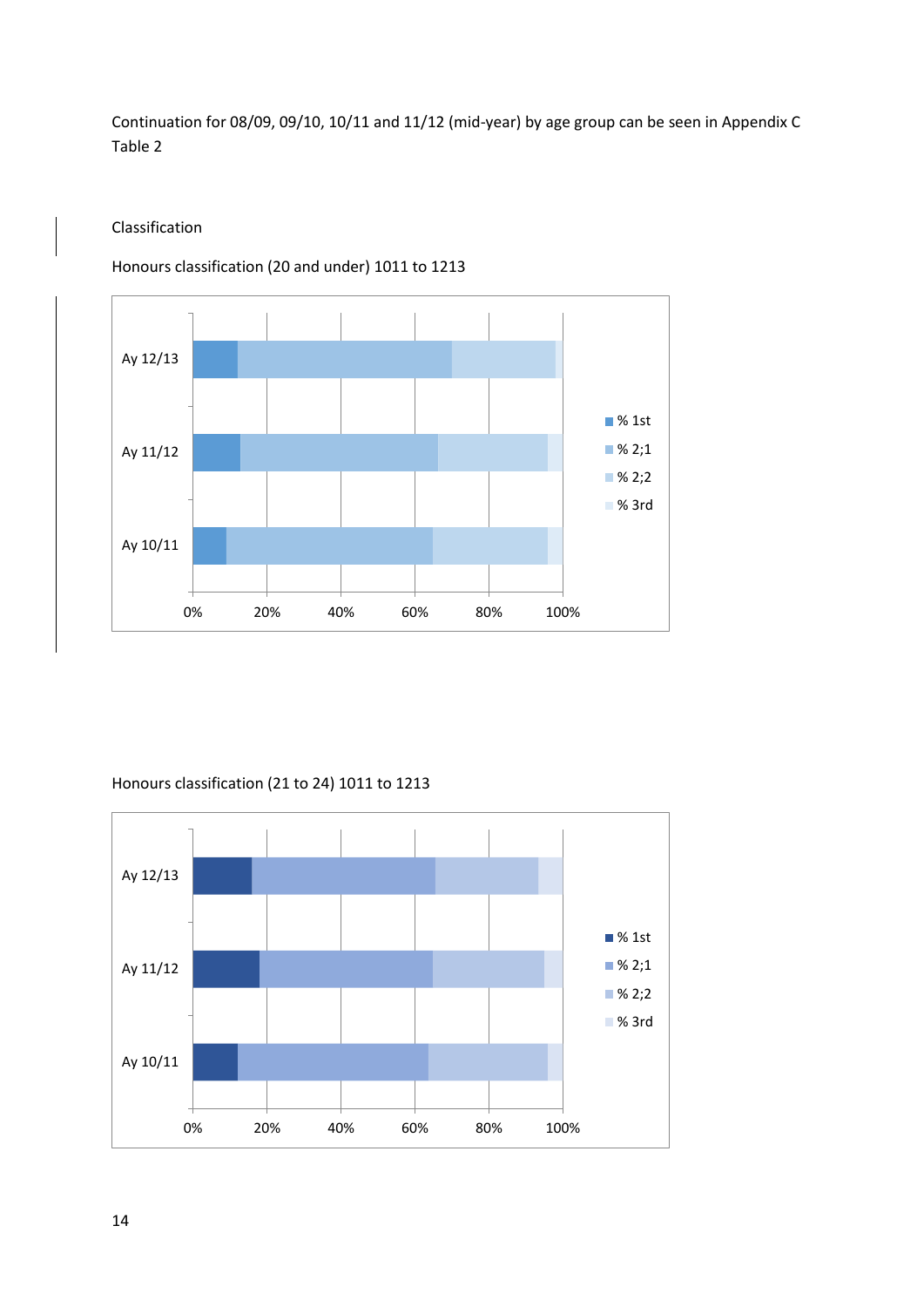Continuation for 08/09, 09/10, 10/11 and 11/12 (mid-year) by age group can be seen in Appendix C Table 2

#### Classification

Honours classification (20 and under) 1011 to 1213



#### Honours classification (21 to 24) 1011 to 1213

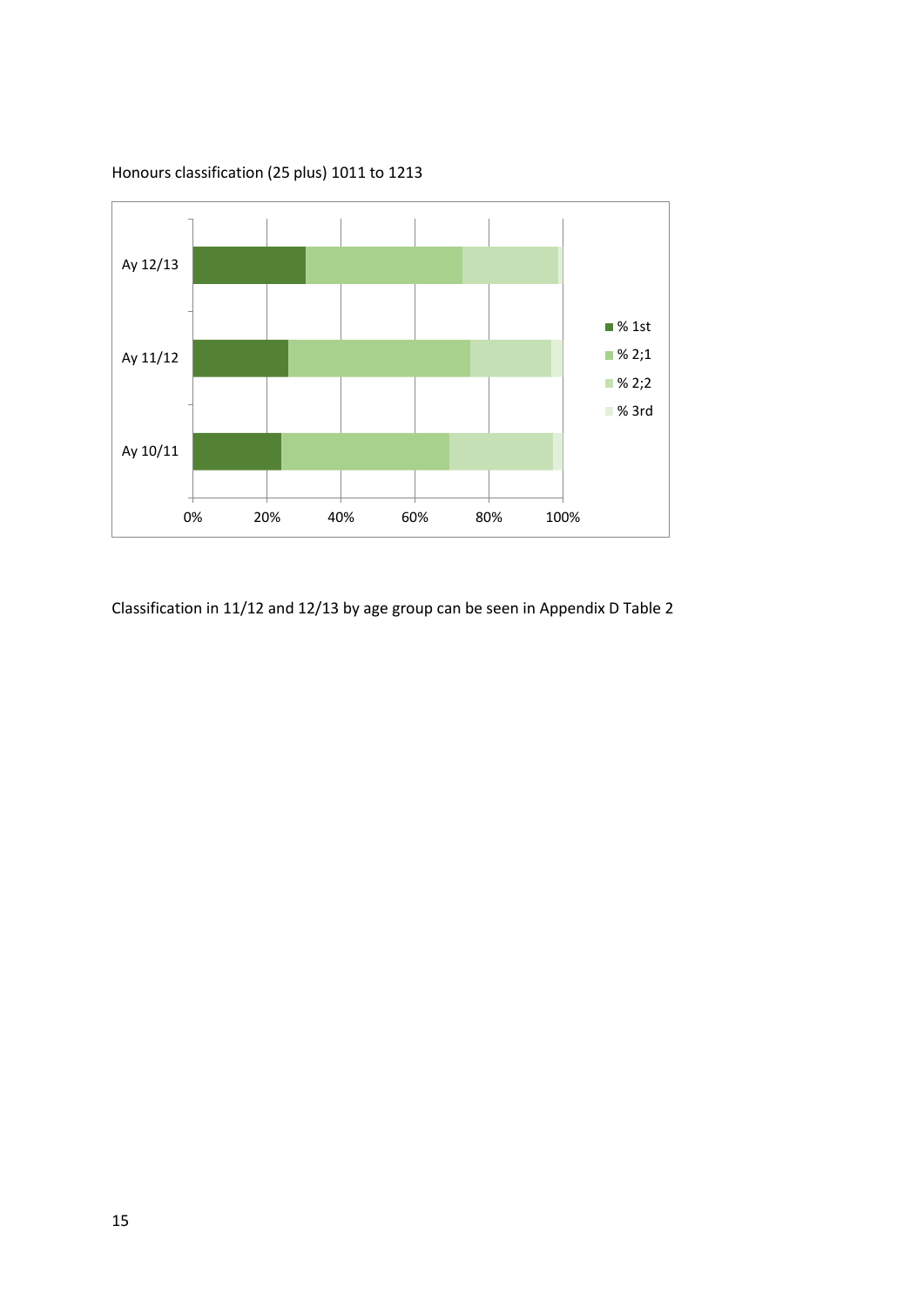

Honours classification (25 plus) 1011 to 1213

Classification in 11/12 and 12/13 by age group can be seen in Appendix D Table 2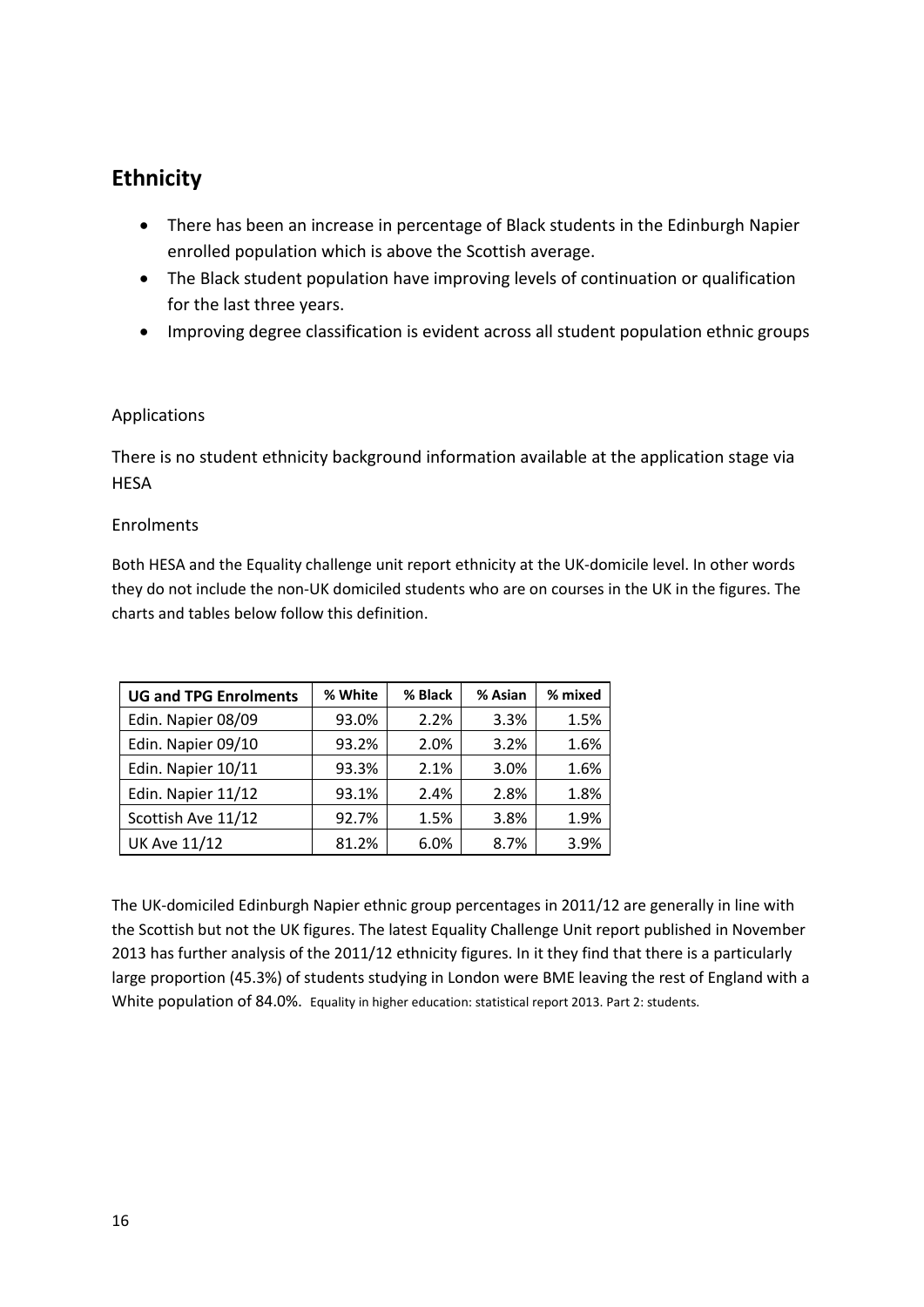## **Ethnicity**

- There has been an increase in percentage of Black students in the Edinburgh Napier enrolled population which is above the Scottish average.
- The Black student population have improving levels of continuation or qualification for the last three years.
- Improving degree classification is evident across all student population ethnic groups

#### Applications

There is no student ethnicity background information available at the application stage via **HESA** 

#### Enrolments

Both HESA and the Equality challenge unit report ethnicity at the UK-domicile level. In other words they do not include the non-UK domiciled students who are on courses in the UK in the figures. The charts and tables below follow this definition.

| <b>UG and TPG Enrolments</b> | % White | % Black | % Asian | % mixed |
|------------------------------|---------|---------|---------|---------|
| Edin. Napier 08/09           | 93.0%   | 2.2%    | 3.3%    | 1.5%    |
| Edin. Napier 09/10           | 93.2%   | 2.0%    | 3.2%    | 1.6%    |
| Edin. Napier 10/11           | 93.3%   | 2.1%    | 3.0%    | 1.6%    |
| Edin. Napier 11/12           | 93.1%   | 2.4%    | 2.8%    | 1.8%    |
| Scottish Ave 11/12           | 92.7%   | 1.5%    | 3.8%    | 1.9%    |
| <b>UK Ave 11/12</b>          | 81.2%   | 6.0%    | 8.7%    | 3.9%    |

The UK-domiciled Edinburgh Napier ethnic group percentages in 2011/12 are generally in line with the Scottish but not the UK figures. The latest Equality Challenge Unit report published in November 2013 has further analysis of the 2011/12 ethnicity figures. In it they find that there is a particularly large proportion (45.3%) of students studying in London were BME leaving the rest of England with a White population of 84.0%. Equality in higher education: statistical report 2013. Part 2: students.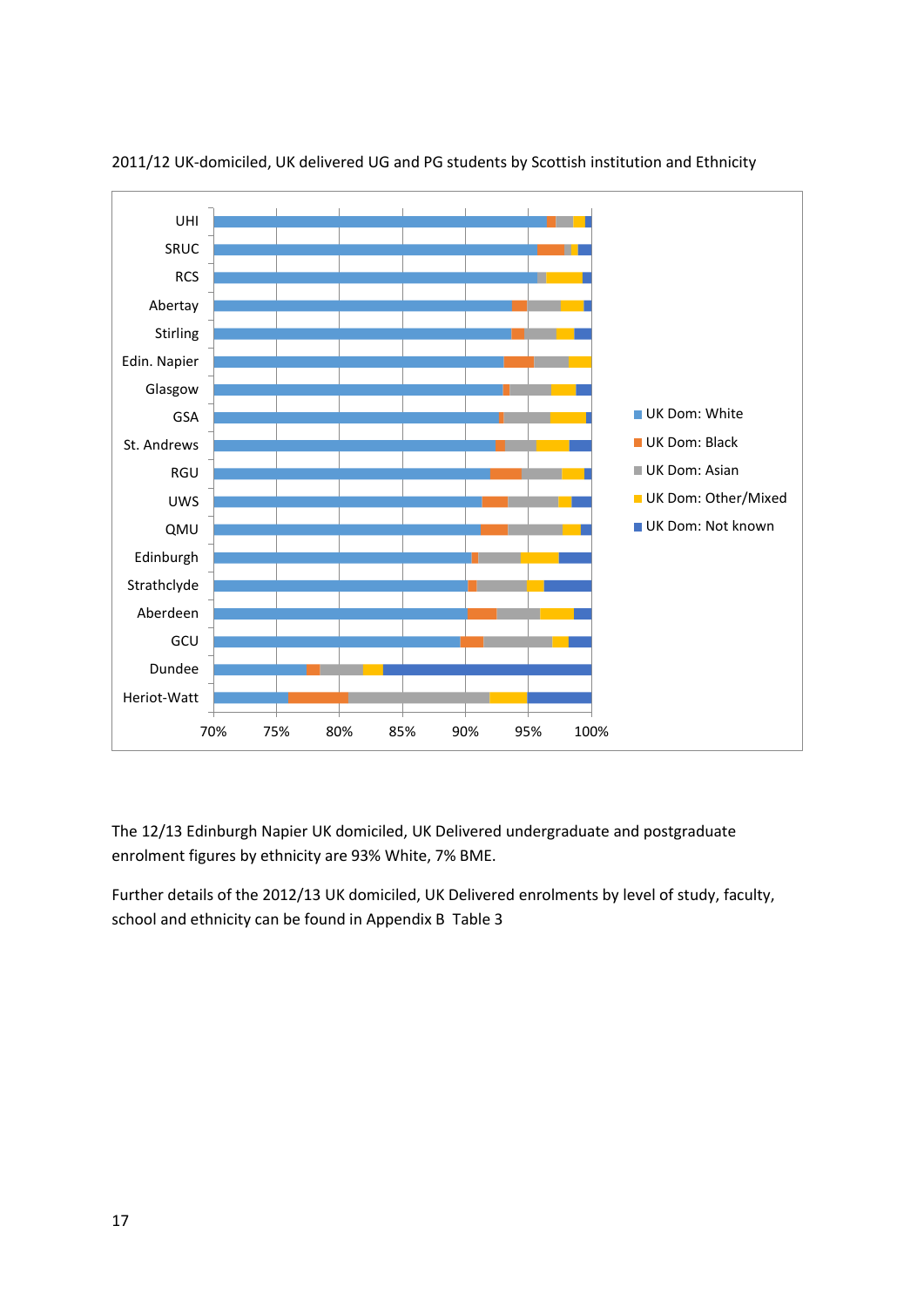

2011/12 UK-domiciled, UK delivered UG and PG students by Scottish institution and Ethnicity

The 12/13 Edinburgh Napier UK domiciled, UK Delivered undergraduate and postgraduate enrolment figures by ethnicity are 93% White, 7% BME.

Further details of the 2012/13 UK domiciled, UK Delivered enrolments by level of study, faculty, school and ethnicity can be found in Appendix B Table 3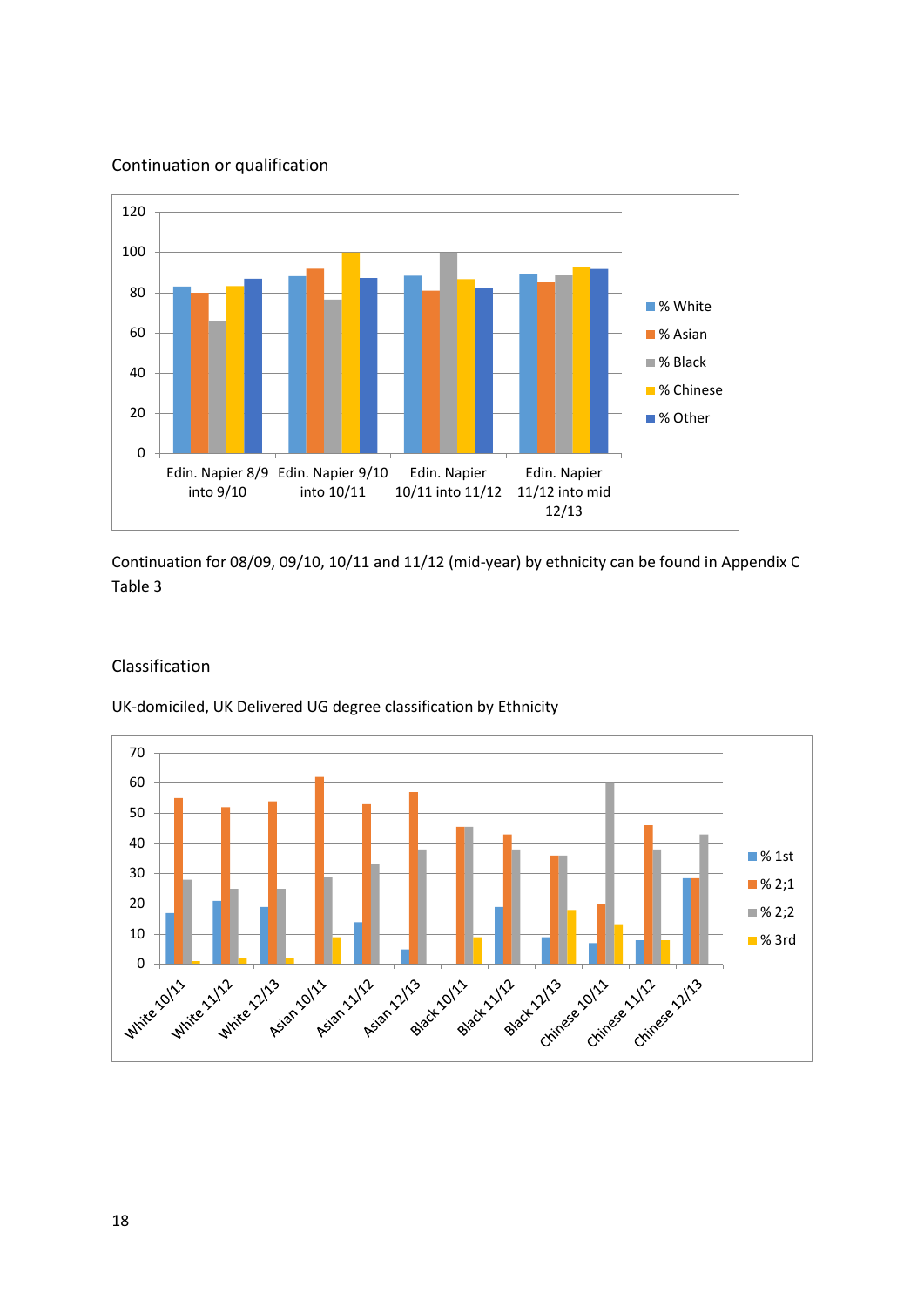#### Continuation or qualification



Continuation for 08/09, 09/10, 10/11 and 11/12 (mid-year) by ethnicity can be found in Appendix C Table 3

#### Classification

UK-domiciled, UK Delivered UG degree classification by Ethnicity

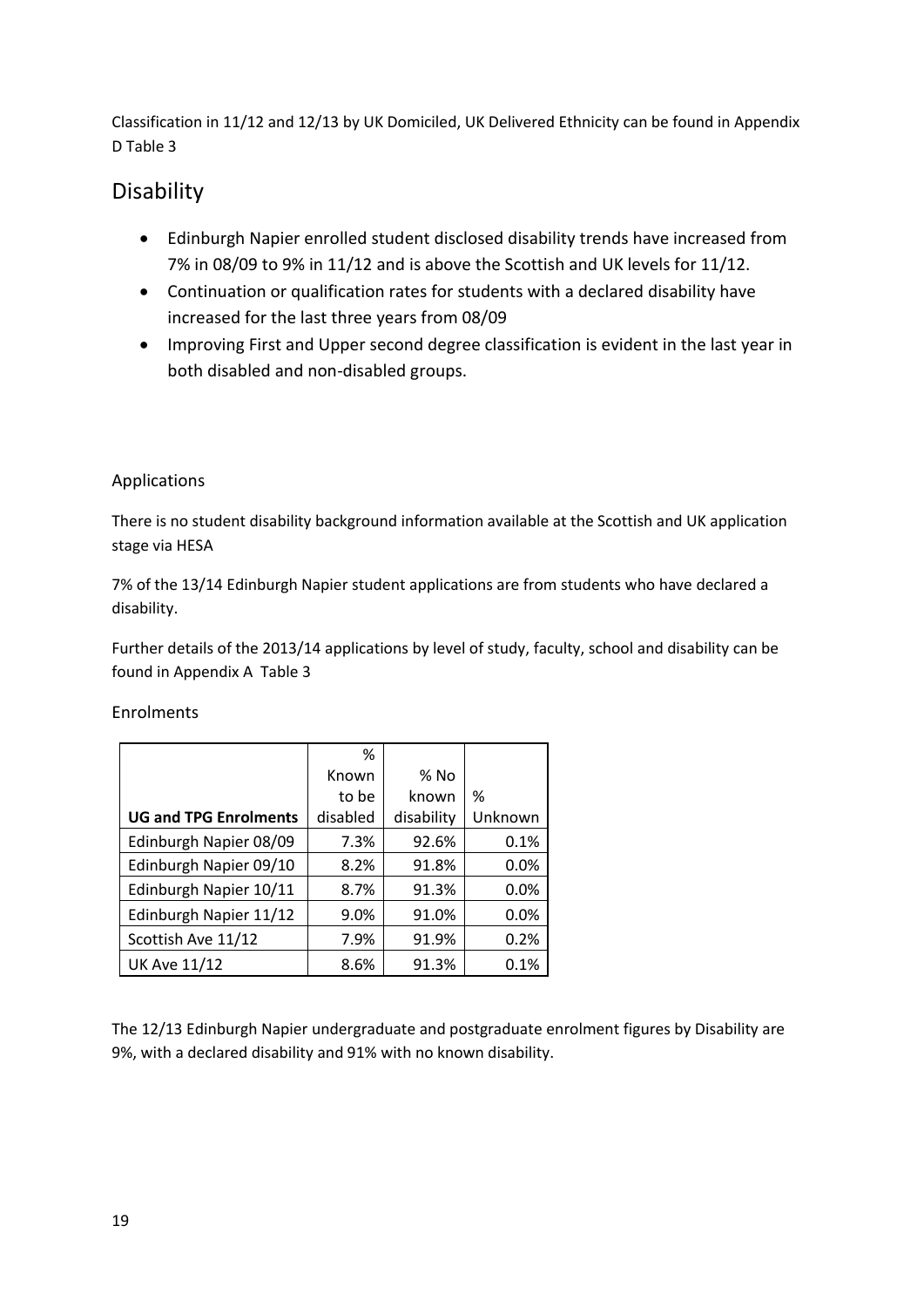Classification in 11/12 and 12/13 by UK Domiciled, UK Delivered Ethnicity can be found in Appendix D Table 3

## Disability

- Edinburgh Napier enrolled student disclosed disability trends have increased from 7% in 08/09 to 9% in 11/12 and is above the Scottish and UK levels for 11/12.
- Continuation or qualification rates for students with a declared disability have increased for the last three years from 08/09
- Improving First and Upper second degree classification is evident in the last year in both disabled and non-disabled groups.

#### Applications

There is no student disability background information available at the Scottish and UK application stage via HESA

7% of the 13/14 Edinburgh Napier student applications are from students who have declared a disability.

Further details of the 2013/14 applications by level of study, faculty, school and disability can be found in Appendix A Table 3

|  | Enrolments |
|--|------------|
|--|------------|

|                              | %        |            |         |
|------------------------------|----------|------------|---------|
|                              | Known    | % No       |         |
|                              | to be    | known      | %       |
| <b>UG and TPG Enrolments</b> | disabled | disability | Unknown |
| Edinburgh Napier 08/09       | 7.3%     | 92.6%      | 0.1%    |
| Edinburgh Napier 09/10       | 8.2%     | 91.8%      | 0.0%    |
| Edinburgh Napier 10/11       | 8.7%     | 91.3%      | 0.0%    |
| Edinburgh Napier 11/12       | 9.0%     | 91.0%      | 0.0%    |
| Scottish Ave 11/12           | 7.9%     | 91.9%      | 0.2%    |
| <b>UK Ave 11/12</b>          | 8.6%     | 91.3%      | 0.1%    |

The 12/13 Edinburgh Napier undergraduate and postgraduate enrolment figures by Disability are 9%, with a declared disability and 91% with no known disability.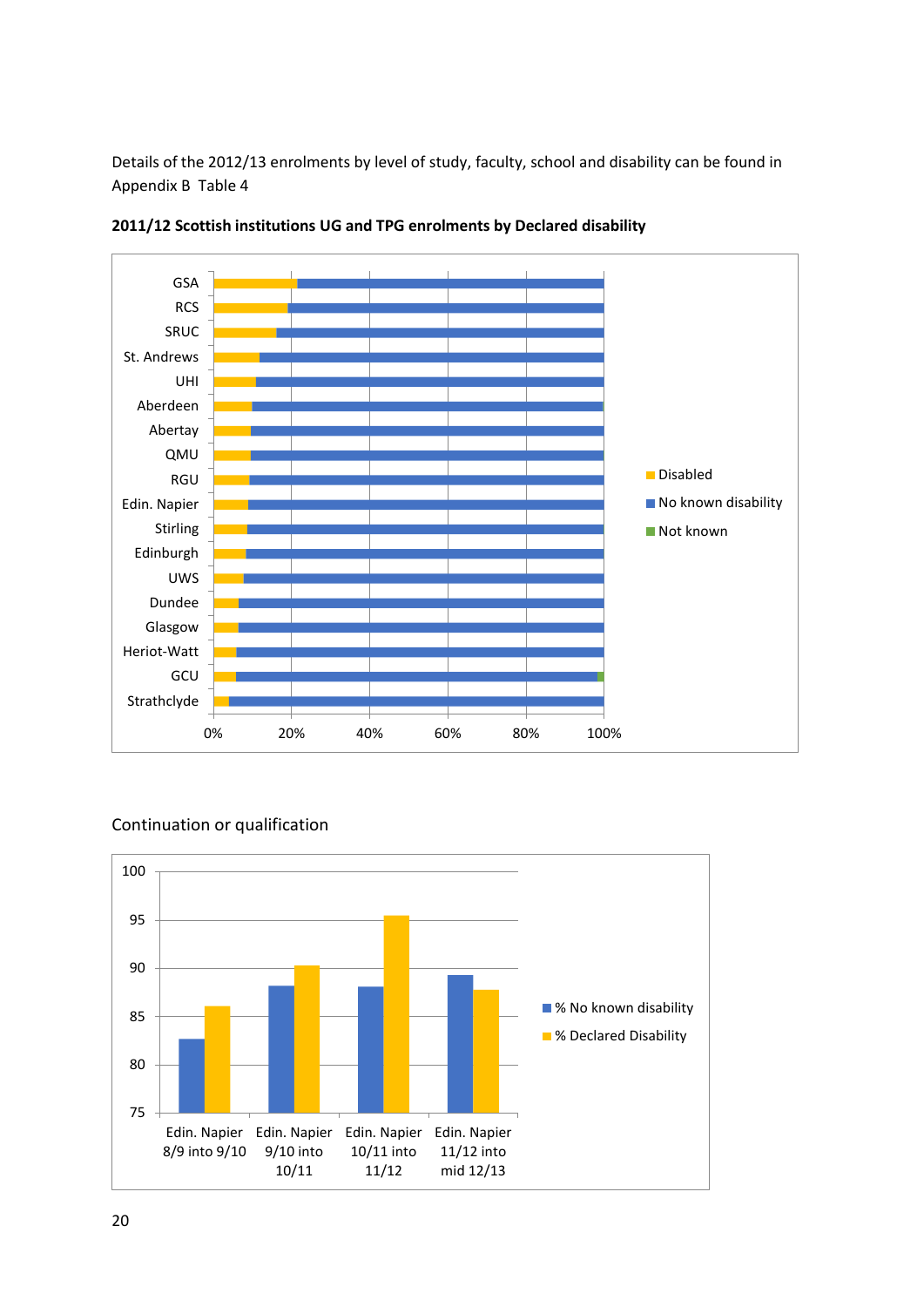Details of the 2012/13 enrolments by level of study, faculty, school and disability can be found in Appendix B Table 4



**2011/12 Scottish institutions UG and TPG enrolments by Declared disability**

#### Continuation or qualification

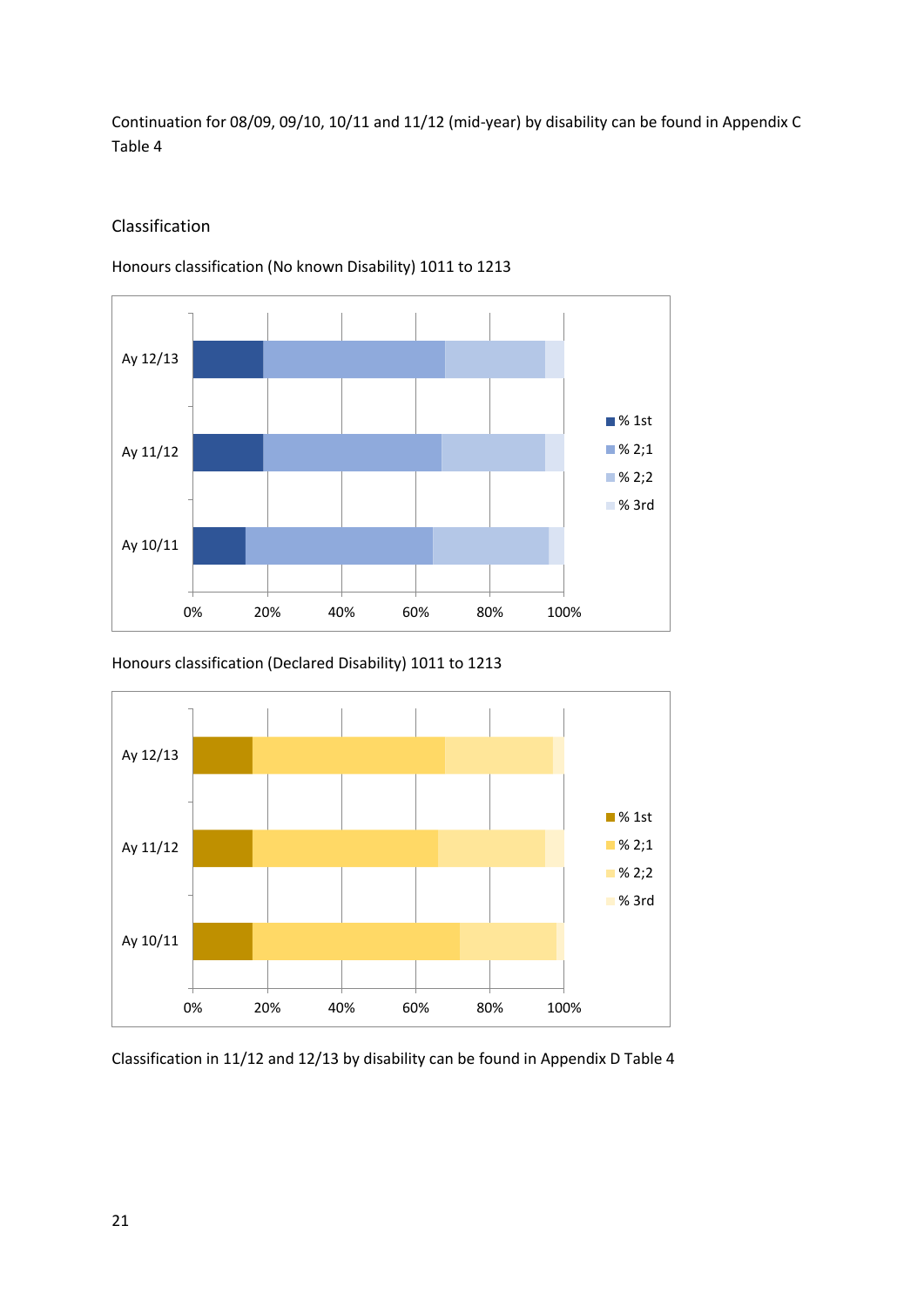Continuation for 08/09, 09/10, 10/11 and 11/12 (mid-year) by disability can be found in Appendix C Table 4

#### Classification

Honours classification (No known Disability) 1011 to 1213



Honours classification (Declared Disability) 1011 to 1213



Classification in 11/12 and 12/13 by disability can be found in Appendix D Table 4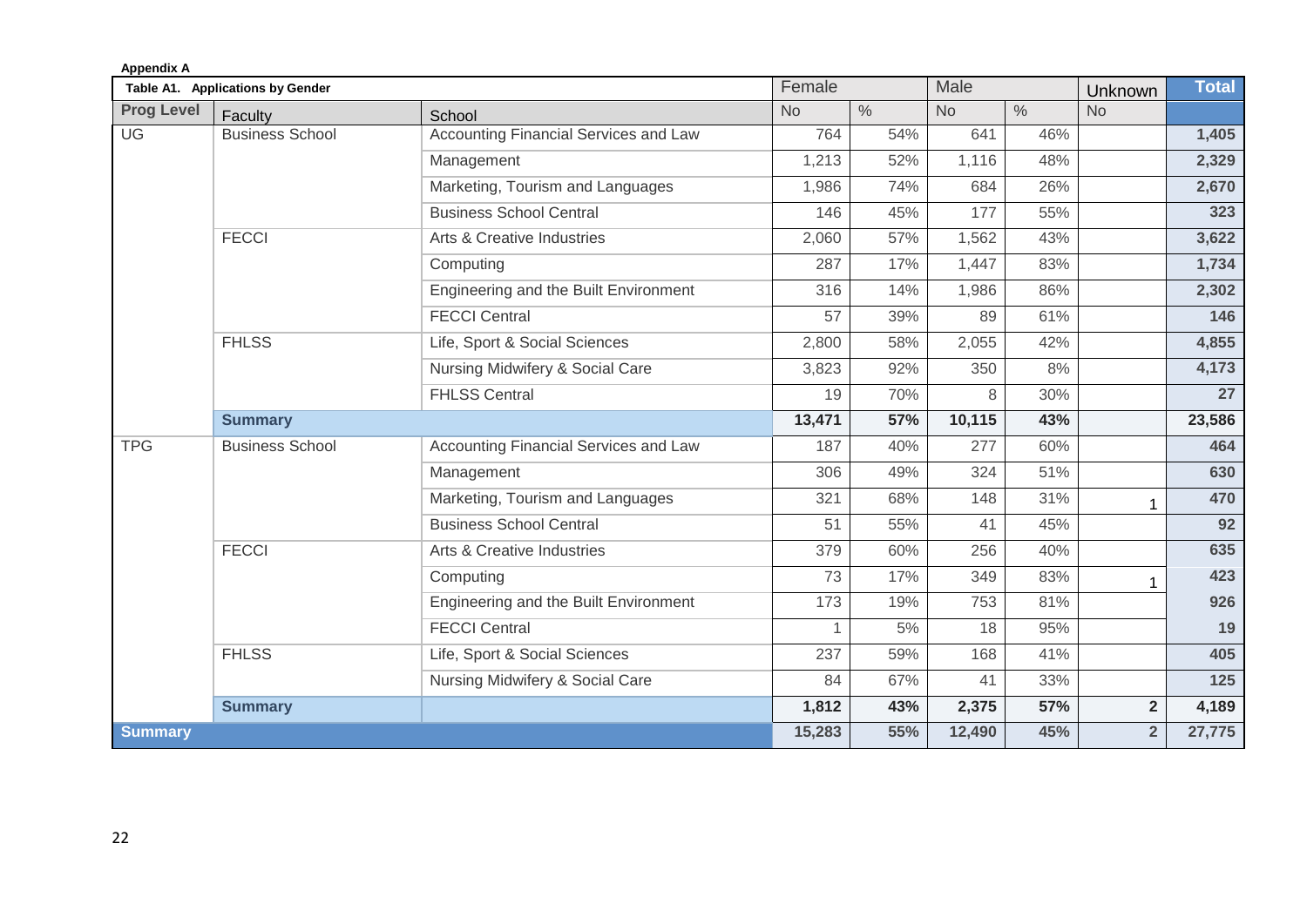| <b>Appendix A</b> |                                  |                                              |           |               |           |               |                |              |
|-------------------|----------------------------------|----------------------------------------------|-----------|---------------|-----------|---------------|----------------|--------------|
|                   | Table A1. Applications by Gender |                                              | Female    |               | Male      |               | Unknown        | <b>Total</b> |
| <b>Prog Level</b> | Faculty                          | School                                       | <b>No</b> | $\frac{0}{0}$ | <b>No</b> | $\frac{0}{0}$ | <b>No</b>      |              |
| UG                | <b>Business School</b>           | <b>Accounting Financial Services and Law</b> | 764       | 54%           | 641       | 46%           |                | 1,405        |
|                   |                                  | Management                                   | 1,213     | 52%           | 1,116     | 48%           |                | 2,329        |
|                   |                                  | Marketing, Tourism and Languages             | 1,986     | 74%           | 684       | 26%           |                | 2,670        |
|                   |                                  | <b>Business School Central</b>               | 146       | 45%           | 177       | 55%           |                | 323          |
|                   | <b>FECCI</b>                     | Arts & Creative Industries                   | 2,060     | 57%           | 1,562     | 43%           |                | 3,622        |
|                   |                                  | Computing                                    | 287       | 17%           | 1,447     | 83%           |                | 1,734        |
|                   |                                  | Engineering and the Built Environment        | 316       | 14%           | 1,986     | 86%           |                | 2,302        |
|                   |                                  | <b>FECCI Central</b>                         | 57        | 39%           | 89        | 61%           |                | 146          |
|                   | <b>FHLSS</b>                     | Life, Sport & Social Sciences                | 2,800     | 58%           | 2,055     | 42%           |                | 4,855        |
|                   |                                  | Nursing Midwifery & Social Care              | 3,823     | 92%           | 350       | 8%            |                | 4,173        |
|                   |                                  | <b>FHLSS Central</b>                         | 19        | 70%           | 8         | 30%           |                | 27           |
|                   | <b>Summary</b>                   |                                              | 13,471    | 57%           | 10,115    | 43%           |                | 23,586       |
| <b>TPG</b>        | <b>Business School</b>           | Accounting Financial Services and Law        | 187       | 40%           | 277       | 60%           |                | 464          |
|                   |                                  | Management                                   | 306       | 49%           | 324       | 51%           |                | 630          |
|                   |                                  | Marketing, Tourism and Languages             | 321       | 68%           | 148       | 31%           |                | 470          |
|                   |                                  | <b>Business School Central</b>               | 51        | 55%           | 41        | 45%           |                | 92           |
|                   | <b>FECCI</b>                     | <b>Arts &amp; Creative Industries</b>        | 379       | 60%           | 256       | 40%           |                | 635          |
|                   |                                  | Computing                                    | 73        | 17%           | 349       | 83%           |                | 423          |
|                   |                                  | Engineering and the Built Environment        | 173       | 19%           | 753       | 81%           |                | 926          |
|                   |                                  | <b>FECCI Central</b>                         |           | 5%            | 18        | 95%           |                | 19           |
|                   | <b>FHLSS</b>                     | Life, Sport & Social Sciences                | 237       | 59%           | 168       | 41%           |                | 405          |
|                   |                                  | Nursing Midwifery & Social Care              | 84        | 67%           | 41        | 33%           |                | 125          |
|                   | <b>Summary</b>                   |                                              | 1,812     | 43%           | 2,375     | 57%           | $\overline{2}$ | 4,189        |
| <b>Summary</b>    |                                  |                                              | 15,283    | 55%           | 12,490    | 45%           | $\overline{2}$ | 27,775       |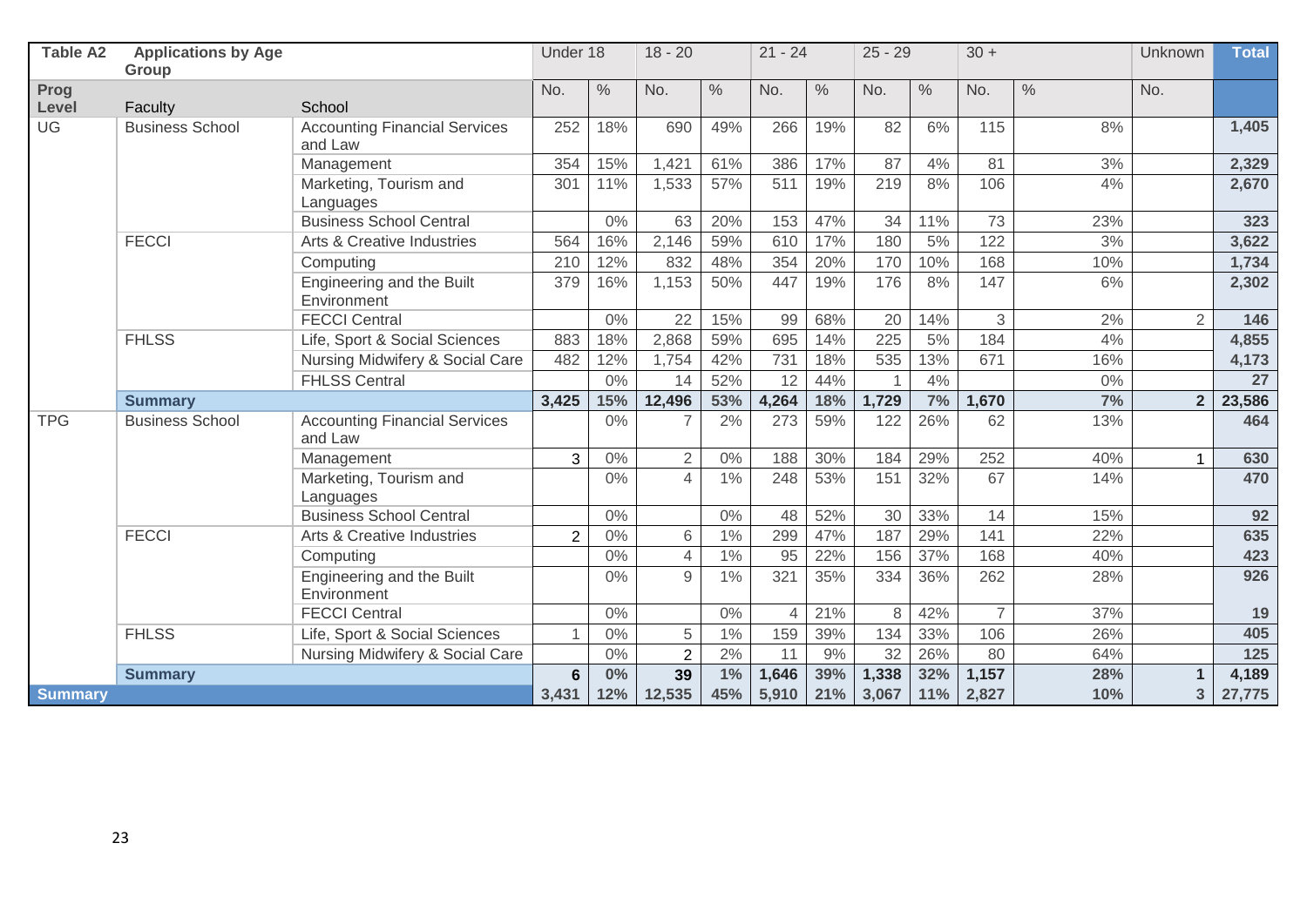| <b>Table A2</b>      | <b>Applications by Age</b> |                                                 | Under 18       |               | $18 - 20$      |               | $21 - 24$      |               | $25 - 29$ |               | $30 +$         |               |                | <b>Total</b> |
|----------------------|----------------------------|-------------------------------------------------|----------------|---------------|----------------|---------------|----------------|---------------|-----------|---------------|----------------|---------------|----------------|--------------|
|                      | Group                      |                                                 |                |               |                |               |                |               |           |               |                |               |                |              |
| <b>Prog</b><br>Level | Faculty                    | School                                          | No.            | $\frac{0}{0}$ | No.            | $\frac{0}{0}$ | No.            | $\frac{0}{0}$ | No.       | $\frac{0}{0}$ | No.            | $\frac{0}{0}$ | No.            |              |
| UG                   | <b>Business School</b>     | <b>Accounting Financial Services</b>            | 252            | 18%           | 690            | 49%           | 266            | 19%           | 82        | 6%            | 115            | 8%            |                | 1,405        |
|                      |                            | and Law                                         |                |               |                |               |                |               |           |               |                |               |                |              |
|                      |                            | Management                                      | 354            | 15%           | 1,421          | 61%           | 386            | 17%           | 87        | 4%            | 81             | 3%            |                | 2,329        |
|                      |                            | Marketing, Tourism and<br>Languages             | 301            | 11%           | 1,533          | 57%           | 511            | 19%           | 219       | 8%            | 106            | 4%            |                | 2,670        |
|                      |                            | <b>Business School Central</b>                  |                | 0%            | 63             | 20%           | 153            | 47%           | 34        | 11%           | 73             | 23%           |                | 323          |
| <b>FECCI</b>         |                            | Arts & Creative Industries                      | 564            | 16%           | 2,146          | 59%           | 610            | 17%           | 180       | 5%            | 122            | 3%            |                | 3,622        |
|                      |                            | Computing                                       | 210            | 12%           | 832            | 48%           | 354            | 20%           | 170       | 10%           | 168            | 10%           |                | 1,734        |
|                      |                            | Engineering and the Built<br>Environment        | 379            | 16%           | 1,153          | 50%           | 447            | 19%           | 176       | 8%            | 147            | 6%            |                | 2,302        |
|                      |                            | <b>FECCI Central</b>                            |                | 0%            | 22             | 15%           | 99             | 68%           | 20        | 14%           | 3              | 2%            | $\overline{2}$ | 146          |
|                      | <b>FHLSS</b>               | Life, Sport & Social Sciences                   | 883            | 18%           | 2,868          | 59%           | 695            | 14%           | 225       | 5%            | 184            | 4%            |                | 4,855        |
|                      |                            | Nursing Midwifery & Social Care                 | 482            | 12%           | 1,754          | 42%           | 731            | 18%           | 535       | 13%           | 671            | 16%           |                | 4,173        |
|                      |                            | <b>FHLSS Central</b>                            |                | $0\%$         | 14             | 52%           | 12             | 44%           |           | 4%            |                | $0\%$         |                | 27           |
|                      | <b>Summary</b>             |                                                 | 3,425          | 15%           | 12,496         | 53%           | 4,264          | 18%           | 1,729     | 7%            | 1,670          | 7%            | 2 <sup>1</sup> | 23,586       |
| <b>TPG</b>           | <b>Business School</b>     | <b>Accounting Financial Services</b><br>and Law |                | 0%            | 7              | 2%            | 273            | 59%           | 122       | 26%           | 62             | 13%           |                | 464          |
|                      |                            | Management                                      | 3              | $0\%$         | $\overline{2}$ | 0%            | 188            | 30%           | 184       | 29%           | 252            | 40%           | $\mathbf{1}$   | 630          |
|                      |                            | Marketing, Tourism and<br>Languages             |                | 0%            | $\overline{4}$ | 1%            | 248            | 53%           | 151       | 32%           | 67             | 14%           |                | 470          |
|                      |                            | <b>Business School Central</b>                  |                | $0\%$         |                | 0%            | 48             | 52%           | 30        | 33%           | 14             | 15%           |                | 92           |
|                      | <b>FECCI</b>               | Arts & Creative Industries                      | $\overline{2}$ | $0\%$         | 6              | 1%            | 299            | 47%           | 187       | 29%           | 141            | 22%           |                | 635          |
|                      |                            | Computing                                       |                | $0\%$         | $\overline{4}$ | 1%            | 95             | 22%           | 156       | 37%           | 168            | 40%           |                | 423          |
|                      |                            | Engineering and the Built<br>Environment        |                | $0\%$         | $\mathsf g$    | 1%            | 321            | 35%           | 334       | 36%           | 262            | 28%           |                | 926          |
|                      |                            | <b>FECCI Central</b>                            |                | $0\%$         |                | 0%            | $\overline{4}$ | 21%           | 8         | 42%           | $\overline{7}$ | 37%           |                | 19           |
|                      | <b>FHLSS</b>               | Life, Sport & Social Sciences                   | $\mathbf{1}$   | $0\%$         | 5              | 1%            | 159            | 39%           | 134       | 33%           | 106            | 26%           |                | 405          |
|                      |                            | Nursing Midwifery & Social Care                 |                | $0\%$         | $\overline{2}$ | 2%            | 11             | 9%            | 32        | 26%           | 80             | 64%           |                | 125          |
|                      | <b>Summary</b>             |                                                 | 6              | 0%            | 39             | $1\%$         | 1,646          | 39%           | 1,338     | 32%           | 1,157          | 28%           | $\mathbf{1}$   | 4,189        |
| <b>Summary</b>       |                            |                                                 | 3,431          | 12%           | 12,535         | 45%           | 5,910          | 21%           | 3,067     | 11%           | 2,827          | 10%           | 3 <sup>1</sup> | 27,775       |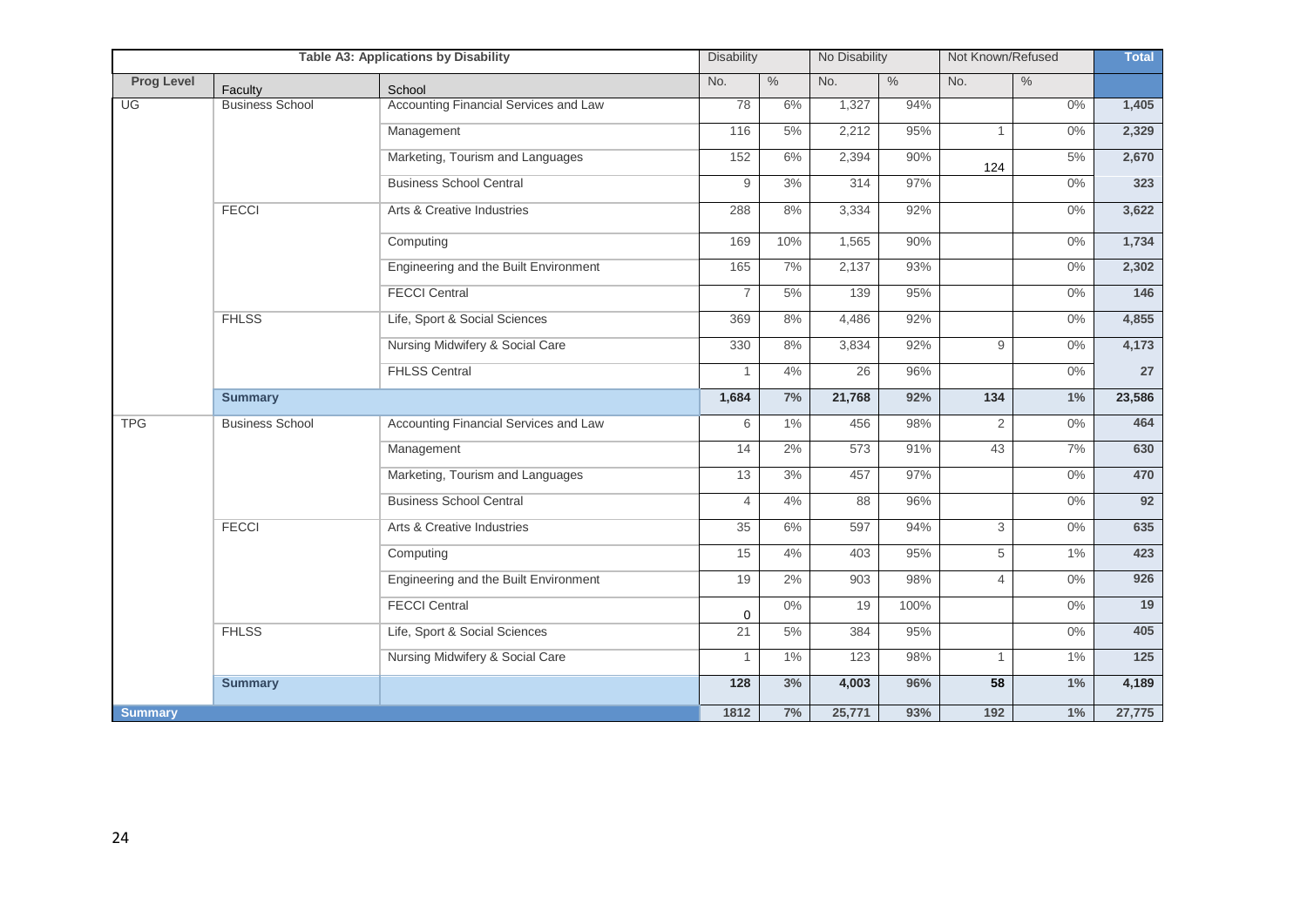|                   |                        | <b>Table A3: Applications by Disability</b> | <b>Disability</b> |               | No Disability |               | Not Known/Refused |               | <b>Total</b>     |
|-------------------|------------------------|---------------------------------------------|-------------------|---------------|---------------|---------------|-------------------|---------------|------------------|
| <b>Prog Level</b> | Faculty                | School                                      | No.               | $\frac{0}{6}$ | No.           | $\frac{0}{0}$ | No.               | $\frac{0}{6}$ |                  |
| UG                | <b>Business School</b> | Accounting Financial Services and Law       | 78                | 6%            | 1,327         | 94%           |                   | $0\%$         | 1,405            |
|                   |                        | Management                                  | 116               | 5%            | 2,212         | 95%           | $\mathbf{1}$      | $0\%$         | 2,329            |
|                   |                        | Marketing, Tourism and Languages            | 152               | 6%            | 2,394         | 90%           | 124               | 5%            | 2,670            |
|                   |                        | <b>Business School Central</b>              | 9                 | 3%            | 314           | 97%           |                   | $0\%$         | 323              |
|                   | <b>FECCI</b>           | Arts & Creative Industries                  | 288               | 8%            | 3,334         | 92%           |                   | $0\%$         | 3,622            |
|                   |                        | Computing                                   | 169               | 10%           | 1,565         | 90%           |                   | 0%            | 1,734            |
|                   |                        | Engineering and the Built Environment       | 165               | 7%            | 2,137         | 93%           |                   | $0\%$         | 2,302            |
|                   |                        | <b>FECCI Central</b>                        | $\overline{7}$    | 5%            | 139           | 95%           |                   | $0\%$         | $\overline{146}$ |
|                   | <b>FHLSS</b>           | Life, Sport & Social Sciences               | 369               | 8%            | 4,486         | 92%           |                   | $0\%$         | 4,855            |
|                   |                        | Nursing Midwifery & Social Care             | 330               | 8%            | 3,834         | 92%           | 9                 | $0\%$         | 4,173            |
|                   |                        | <b>FHLSS Central</b>                        | $\mathbf{1}$      | 4%            | 26            | 96%           |                   | $0\%$         | 27               |
|                   | <b>Summary</b>         |                                             | 1,684             | 7%            | 21,768        | 92%           | 134               | 1%            | 23,586           |
| <b>TPG</b>        | <b>Business School</b> | Accounting Financial Services and Law       | 6                 | 1%            | 456           | 98%           | $\overline{2}$    | $0\%$         | 464              |
|                   |                        | Management                                  | 14                | 2%            | 573           | 91%           | 43                | 7%            | 630              |
|                   |                        | Marketing, Tourism and Languages            | 13                | 3%            | 457           | 97%           |                   | $0\%$         | 470              |
|                   |                        | <b>Business School Central</b>              | $\overline{4}$    | $4\%$         | 88            | 96%           |                   | $0\%$         | 92               |
|                   | <b>FECCI</b>           | Arts & Creative Industries                  | 35                | 6%            | 597           | 94%           | 3                 | $0\%$         | 635              |
|                   |                        | Computing                                   | 15                | 4%            | 403           | 95%           | 5                 | $1\%$         | 423              |
|                   |                        | Engineering and the Built Environment       | 19                | 2%            | 903           | 98%           | $\overline{4}$    | $0\%$         | 926              |
|                   |                        | <b>FECCI Central</b>                        | 0                 | $0\%$         | 19            | 100%          |                   | $0\%$         | 19               |
|                   | <b>FHLSS</b>           | Life, Sport & Social Sciences               | 21                | $5%$          | 384           | 95%           |                   | $0\%$         | 405              |
|                   |                        | Nursing Midwifery & Social Care             | $\mathbf{1}$      | 1%            | 123           | 98%           | $\mathbf{1}$      | $1\%$         | $\overline{125}$ |
|                   | <b>Summary</b>         |                                             | 128               | 3%            | 4,003         | 96%           | 58                | 1%            | 4,189            |
| <b>Summary</b>    |                        |                                             | 1812              | 7%            | 25,771        | 93%           | 192               | $1\%$         | 27,775           |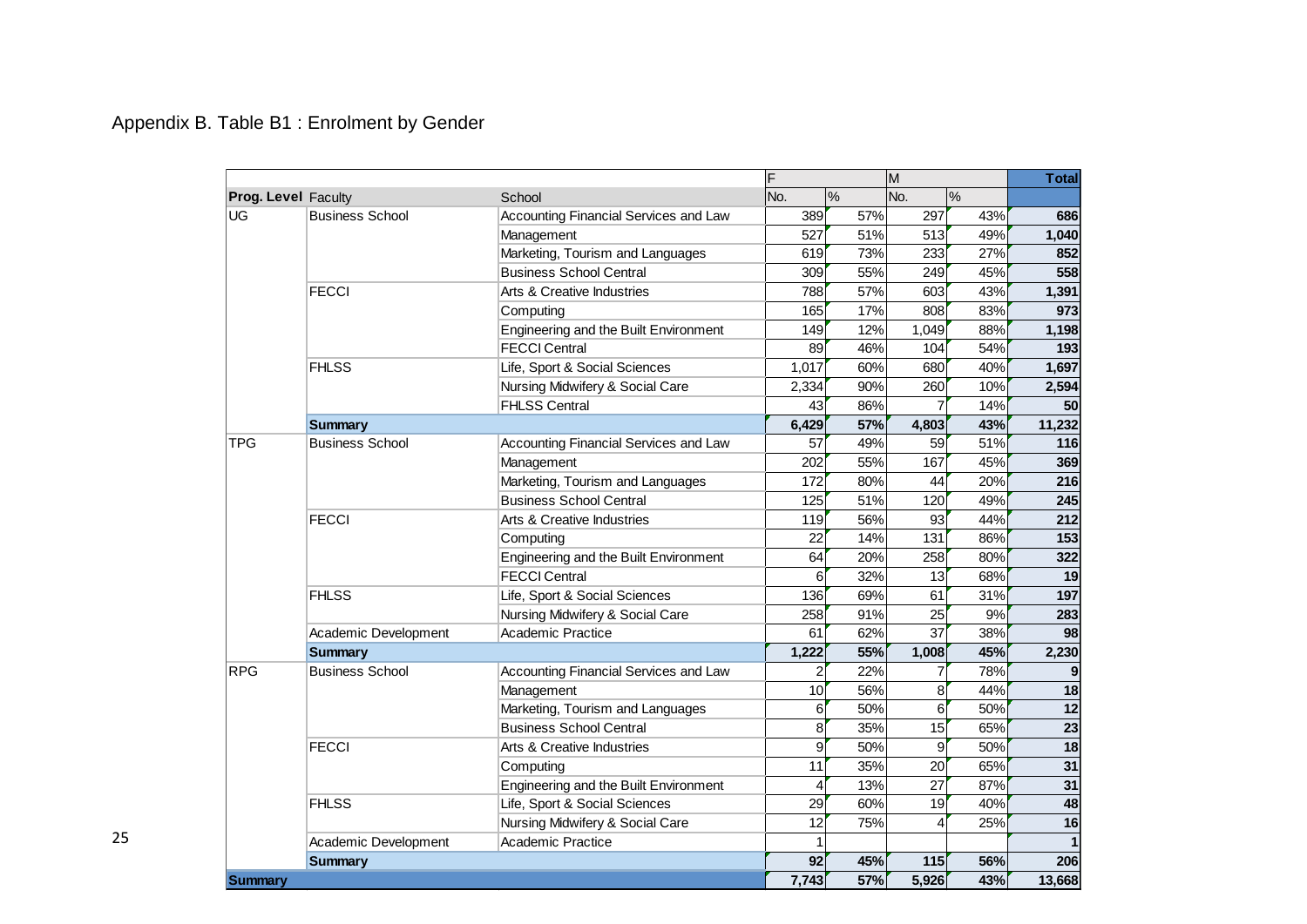# Appendix B. Table B1 : Enrolment by Gender

|                            |                        |                                       | F     |               | M               |               | <b>Total</b>    |
|----------------------------|------------------------|---------------------------------------|-------|---------------|-----------------|---------------|-----------------|
| <b>Prog. Level Faculty</b> |                        | School                                | No.   | $\frac{0}{0}$ | No.             | $\frac{0}{0}$ |                 |
| <b>UG</b>                  | <b>Business School</b> | Accounting Financial Services and Law | 389   | 57%           | 297             | 43%           | 686             |
|                            |                        | Management                            | 527   | 51%           | 513             | 49%           | 1,040           |
|                            |                        | Marketing, Tourism and Languages      | 619   | 73%           | 233             | 27%           | 852             |
|                            |                        | <b>Business School Central</b>        | 309   | 55%           | 249             | 45%           | 558             |
|                            | <b>FECCI</b>           | Arts & Creative Industries            | 788   | 57%           | 603             | 43%           | 1,391           |
|                            |                        | Computing                             | 165   | 17%           | 808             | 83%           | 973             |
|                            |                        | Engineering and the Built Environment | 149   | 12%           | 1,049           | 88%           | 1,198           |
|                            |                        | <b>FECCI Central</b>                  | 89    | 46%           | 104             | 54%           | 193             |
|                            | <b>FHLSS</b>           | Life, Sport & Social Sciences         | 1,017 | 60%           | 680             | 40%           | 1,697           |
|                            |                        | Nursing Midwifery & Social Care       | 2,334 | 90%           | 260             | 10%           | 2,594           |
|                            |                        | <b>FHLSS Central</b>                  | 43    | 86%           | 7               | 14%           | 50              |
|                            | <b>Summary</b>         |                                       | 6,429 | 57%           | 4,803           | 43%           | 11,232          |
| <b>TPG</b>                 | <b>Business School</b> | Accounting Financial Services and Law | 57    | 49%           | 59              | 51%           | 116             |
|                            |                        | Management                            | 202   | 55%           | 167             | 45%           | 369             |
|                            |                        | Marketing, Tourism and Languages      | 172   | 80%           | 44              | 20%           | 216             |
|                            |                        | <b>Business School Central</b>        | 125   | 51%           | 120             | 49%           | 245             |
|                            | <b>FECCI</b>           | Arts & Creative Industries            | 119   | 56%           | 93              | 44%           | 212             |
|                            |                        | Computing                             | 22    | 14%           | 131             | 86%           | 153             |
|                            |                        | Engineering and the Built Environment | 64    | 20%           | 258             | 80%           | 322             |
|                            |                        | <b>FECCI Central</b>                  | 6     | 32%           | 13              | 68%           | 19              |
|                            | <b>FHLSS</b>           | Life, Sport & Social Sciences         | 136   | 69%           | 61              | 31%           | 197             |
|                            |                        | Nursing Midwifery & Social Care       | 258   | 91%           | 25              | 9%            | 283             |
|                            | Academic Development   | Academic Practice                     | 61    | 62%           | $\overline{37}$ | 38%           | 98              |
|                            | <b>Summary</b>         |                                       | 1,222 | 55%           | 1,008           | 45%           | 2,230           |
| <b>RPG</b>                 | <b>Business School</b> | Accounting Financial Services and Law | 2     | 22%           | 7               | 78%           | 9               |
|                            |                        | Management                            | 10    | 56%           | 8               | 44%           | 18              |
|                            |                        | Marketing, Tourism and Languages      | 6     | 50%           | 6               | 50%           | 12              |
|                            |                        | <b>Business School Central</b>        | 8     | 35%           | 15              | 65%           | $\overline{23}$ |
|                            | <b>FECCI</b>           | Arts & Creative Industries            | 9     | 50%           | 9               | 50%           | $\overline{18}$ |
|                            |                        | Computing                             | 11    | 35%           | 20              | 65%           | $\overline{31}$ |
|                            |                        | Engineering and the Built Environment | 4     | 13%           | 27              | 87%           | $\overline{31}$ |
|                            | <b>FHLSS</b>           | Life, Sport & Social Sciences         | 29    | 60%           | 19              | 40%           | 48              |
|                            |                        | Nursing Midwifery & Social Care       | 12    | 75%           | 4               | 25%           | 16              |
|                            | Academic Development   | <b>Academic Practice</b>              |       |               |                 |               | $\overline{1}$  |
|                            | <b>Summary</b>         |                                       | 92    | 45%           | 115             | 56%           | 206             |
| Summarv                    |                        |                                       | 7,743 | 57%           | 5,926           | 43%           | 13,668          |

25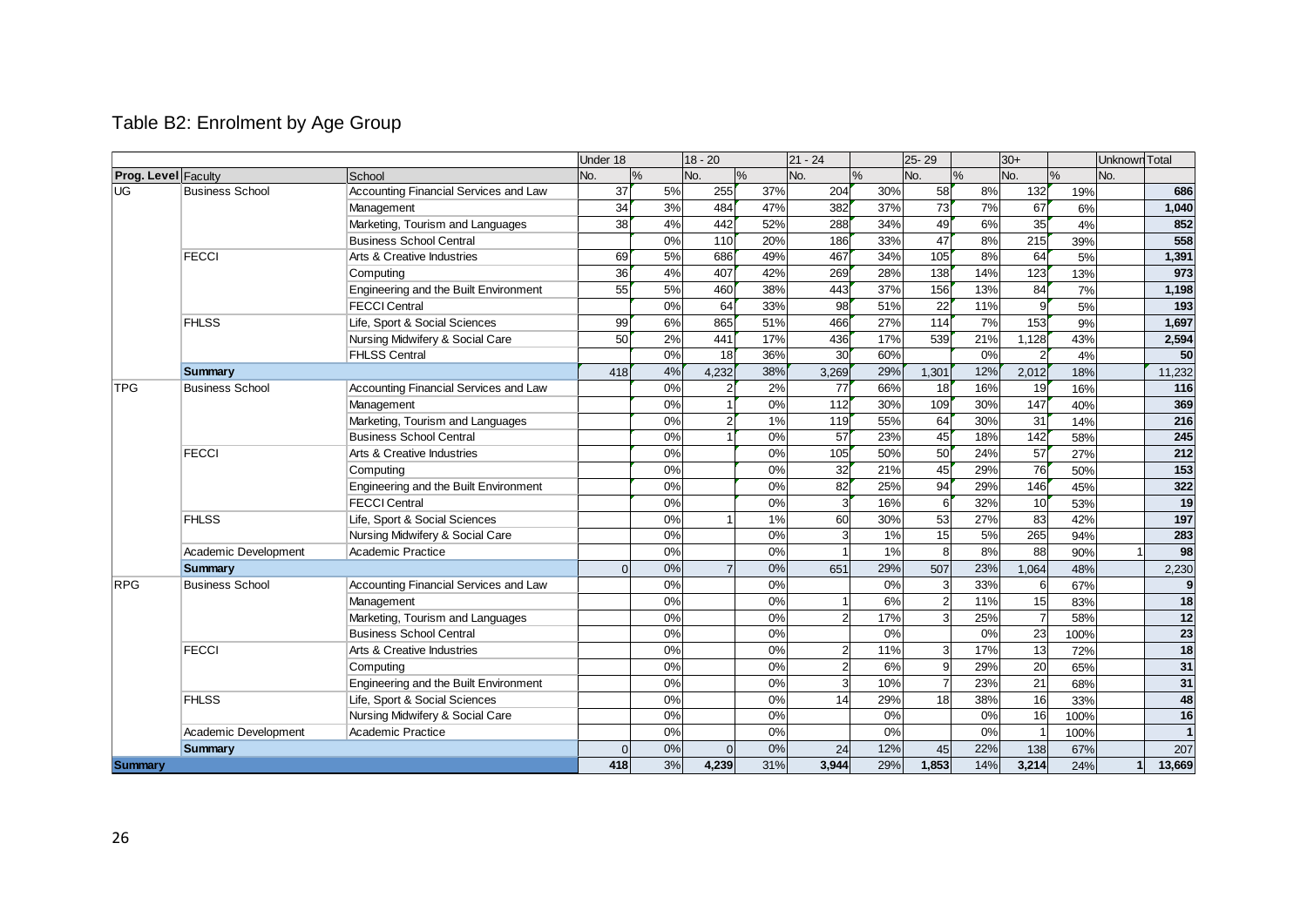# Table B2: Enrolment by Age Group

|                            |                        |                                       | Under 18 |    | $18 - 20$      |     | $21 - 24$      |      | 25-29          |               | $30+$           |               | Unknown Total |                 |
|----------------------------|------------------------|---------------------------------------|----------|----|----------------|-----|----------------|------|----------------|---------------|-----------------|---------------|---------------|-----------------|
| <b>Prog. Level Faculty</b> |                        | School                                | No.      | %  | No.            | %   | No.            | $\%$ | No.            | $\frac{9}{6}$ | No.             | $\frac{0}{0}$ | No.           |                 |
| UG                         | <b>Business School</b> | Accounting Financial Services and Law | 37       | 5% | 255            | 37% | 204            | 30%  | 58             | 8%            | 132             | 19%           |               | 686             |
|                            |                        | Management                            | 34       | 3% | 484            | 47% | 382            | 37%  | 73             | 7%            | 67              | 6%            |               | 1,040           |
|                            |                        | Marketing, Tourism and Languages      | 38       | 4% | 442            | 52% | 288            | 34%  | 49             | 6%            | 35              | 4%            |               | 852             |
|                            |                        | <b>Business School Central</b>        |          | 0% | 110            | 20% | 186            | 33%  | 47             | 8%            | 215             | 39%           |               | 558             |
|                            | <b>FECCI</b>           | Arts & Creative Industries            | 69       | 5% | 686            | 49% | 467            | 34%  | 105            | 8%            | 64              | 5%            |               | 1,391           |
|                            |                        | Computing                             | 36       | 4% | 407            | 42% | 269            | 28%  | 138            | 14%           | 123             | 13%           |               | 973             |
|                            |                        | Engineering and the Built Environment | 55       | 5% | 460            | 38% | 443            | 37%  | 156            | 13%           | 84              | 7%            |               | 1,198           |
|                            |                        | <b>FECCI Central</b>                  |          | 0% | 64             | 33% | 98             | 51%  | 22             | 11%           | 9               | 5%            |               | 193             |
|                            | <b>FHLSS</b>           | Life, Sport & Social Sciences         | 99       | 6% | 865            | 51% | 466            | 27%  | 114            | 7%            | 153             | 9%            |               | 1,697           |
|                            |                        | Nursing Midwifery & Social Care       | 50       | 2% | 441            | 17% | 436            | 17%  | 539            | 21%           | 1,128           | 43%           |               | 2,594           |
|                            |                        | <b>FHLSS Central</b>                  |          | 0% | 18             | 36% | 30             | 60%  |                | 0%            | $\overline{2}$  | 4%            |               | 50              |
|                            | Summary                |                                       | 418      | 4% | 4,232          | 38% | 3,269          | 29%  | 1,301          | 12%           | 2,012           | 18%           |               | 11,232          |
| <b>TPG</b>                 | <b>Business School</b> | Accounting Financial Services and Law |          | 0% | 2              | 2%  | 77             | 66%  | 18             | 16%           | 19              | 16%           |               | 116             |
|                            |                        | Management                            |          | 0% |                | 0%  | 112            | 30%  | 109            | 30%           | 147             | 40%           |               | 369             |
|                            |                        | Marketing, Tourism and Languages      |          | 0% | $\overline{2}$ | 1%  | 119            | 55%  | 64             | 30%           | 31              | 14%           |               | 216             |
|                            |                        | <b>Business School Central</b>        |          | 0% |                | 0%  | 57             | 23%  | 45             | 18%           | 142             | 58%           |               | 245             |
|                            | <b>FECCI</b>           | Arts & Creative Industries            |          | 0% |                | 0%  | 105            | 50%  | 50             | 24%           | 57              | 27%           |               | 212             |
|                            |                        | Computing                             |          | 0% |                | 0%  | 32             | 21%  | 45             | 29%           | 76              | 50%           |               | 153             |
|                            |                        | Engineering and the Built Environment |          | 0% |                | 0%  | 82             | 25%  | 94             | 29%           | 146             | 45%           |               | 322             |
|                            |                        | <b>FECCI Central</b>                  |          | 0% |                | 0%  | 3              | 16%  | 6              | 32%           | 10              | 53%           |               | 19              |
|                            | <b>FHLSS</b>           | Life, Sport & Social Sciences         |          | 0% |                | 1%  | 60             | 30%  | 53             | 27%           | 83              | 42%           |               | 197             |
|                            |                        | Nursing Midwifery & Social Care       |          | 0% |                | 0%  | 3              | 1%   | 15             | 5%            | 265             | 94%           |               | 283             |
|                            | Academic Development   | Academic Practice                     |          | 0% |                | 0%  | $\overline{1}$ | 1%   | 8              | 8%            | 88              | 90%           |               | 98              |
|                            | <b>Summary</b>         |                                       | $\Omega$ | 0% | $\overline{ }$ | 0%  | 651            | 29%  | 507            | 23%           | 1,064           | 48%           |               | 2,230           |
| <b>RPG</b>                 | <b>Business School</b> | Accounting Financial Services and Law |          | 0% |                | 0%  |                | 0%   | 3              | 33%           | 6               | 67%           |               | 9               |
|                            |                        | Management                            |          | 0% |                | 0%  | $\mathbf{1}$   | 6%   | $\overline{2}$ | 11%           | 15              | 83%           |               | 18              |
|                            |                        | Marketing, Tourism and Languages      |          | 0% |                | 0%  | $\overline{2}$ | 17%  |                | 25%           | $\overline{7}$  | 58%           |               | 12              |
|                            |                        | <b>Business School Central</b>        |          | 0% |                | 0%  |                | 0%   |                | 0%            | 23              | 100%          |               | $\overline{23}$ |
|                            | <b>FECCI</b>           | Arts & Creative Industries            |          | 0% |                | 0%  | $\overline{2}$ | 11%  | 3              | 17%           | 13              | 72%           |               | 18              |
|                            |                        | Computing                             |          | 0% |                | 0%  | $\overline{2}$ | 6%   | 9              | 29%           | 20              | 65%           |               | 31              |
|                            |                        | Engineering and the Built Environment |          | 0% |                | 0%  | 3              | 10%  |                | 23%           | $\overline{21}$ | 68%           |               | 31              |
|                            | <b>FHLSS</b>           | Life, Sport & Social Sciences         |          | 0% |                | 0%  | 14             | 29%  | 18             | 38%           | 16              | 33%           |               | 48              |
|                            |                        | Nursing Midwifery & Social Care       |          | 0% |                | 0%  |                | 0%   |                | 0%            | 16              | 100%          |               | 16              |
|                            | Academic Development   | Academic Practice                     |          | 0% |                | 0%  |                | 0%   |                | 0%            |                 | 100%          |               |                 |
|                            | <b>Summary</b>         |                                       | $\Omega$ | 0% | $\Omega$       | 0%  | 24             | 12%  | 45             | 22%           | 138             | 67%           |               | 207             |
| Summary                    |                        |                                       | 418      | 3% | 4.239          | 31% | 3.944          | 29%  | 1.853          | 14%           | 3,214           | 24%           |               | 13,669          |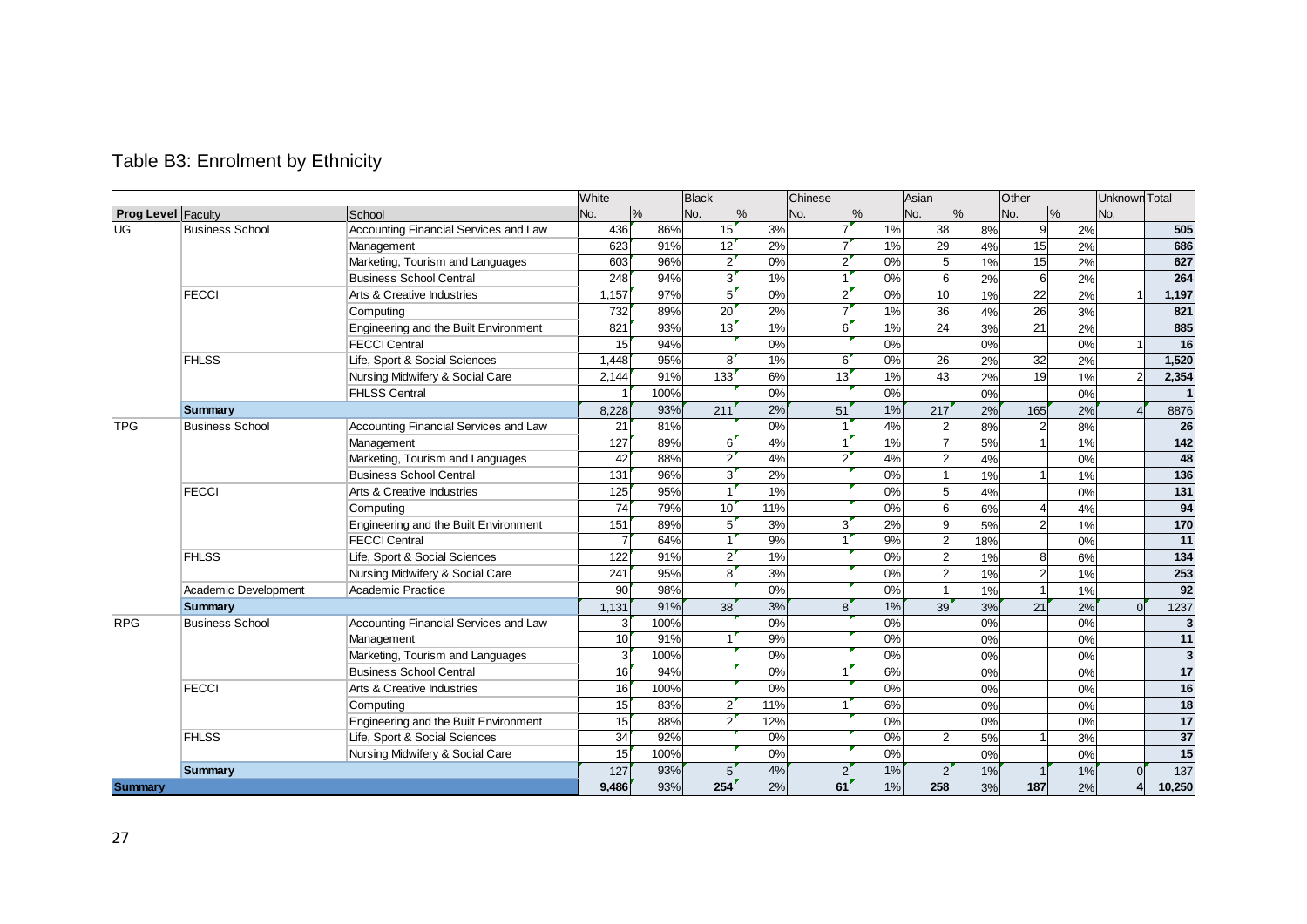|                           |                        |                                       | White            |               | <b>Black</b>   |     | Chinese        |       | Asian          |               | Other          |    | Unknown Total |                |
|---------------------------|------------------------|---------------------------------------|------------------|---------------|----------------|-----|----------------|-------|----------------|---------------|----------------|----|---------------|----------------|
| <b>Prog Level Faculty</b> |                        | School                                | No.              | $\frac{0}{0}$ | No.            | %   | No.            | %     | No.            | $\frac{0}{0}$ | No.<br>$\%$    |    | No.           |                |
| <b>UG</b>                 | <b>Business School</b> | Accounting Financial Services and Law | 436              | 86%           | 15             | 3%  |                | 1%    | 38             | 8%            | 9              | 2% |               | 505            |
|                           |                        | Management                            | 623              | 91%           | 12             | 2%  |                | 1%    | 29             | 4%            | 15             | 2% |               | 686            |
|                           |                        | Marketing, Tourism and Languages      | 603              | 96%           | $\overline{2}$ | 0%  | $\overline{c}$ | 0%    | 5              | 1%            | 15             | 2% |               | 627            |
|                           |                        | <b>Business School Central</b>        | 248              | 94%           | 3              | 1%  |                | 0%    | 6              | 2%            | 6              | 2% |               | 264            |
|                           | <b>FECCI</b>           | Arts & Creative Industries            | 1,157            | 97%           | 5              | 0%  | 2              | 0%    | 10             | 1%            | 22             | 2% |               | 1,197          |
|                           |                        | Computing                             | 732              | 89%           | 20             | 2%  |                | 1%    | 36             | 4%            | 26             | 3% |               | 821            |
|                           |                        | Engineering and the Built Environment | 821              | 93%           | 13             | 1%  | 6              | 1%    | 24             | 3%            | 21             | 2% |               | 885            |
|                           |                        | <b>FECCI Central</b>                  | 15               | 94%           |                | 0%  |                | 0%    |                | 0%            |                | 0% |               | 16             |
|                           | <b>FHLSS</b>           | Life, Sport & Social Sciences         | 1,448            | 95%           |                | 1%  | 6              | 0%    | 26             | 2%            | 32             | 2% |               | 1,520          |
|                           |                        | Nursing Midwifery & Social Care       | 2,144            | 91%           | 133            | 6%  | 13             | 1%    | 43             | 2%            | 19             | 1% |               | 2,354          |
|                           |                        | <b>FHLSS Central</b>                  |                  | 100%          |                | 0%  |                | 0%    |                | 0%            |                | 0% |               | $\overline{1}$ |
|                           | <b>Summary</b>         |                                       | 8.228            | 93%           | 211            | 2%  | 51             | 1%    | 217            | 2%            | 165            | 2% |               | 8876           |
| <b>TPG</b>                | <b>Business School</b> | Accounting Financial Services and Law | 21               | 81%           |                | 0%  |                | 4%    |                | 8%            |                | 8% |               | 26             |
|                           |                        | Management                            | 127              | 89%           |                | 4%  |                | 1%    |                | 5%            |                | 1% |               | 142            |
|                           |                        | Marketing, Tourism and Languages      | 42               | 88%           |                | 4%  |                | 4%    | $\overline{2}$ | 4%            |                | 0% |               | 48             |
|                           |                        | <b>Business School Central</b>        | 131              | 96%           |                | 2%  |                | $0\%$ |                | 1%            |                | 1% |               | 136            |
|                           | <b>FECCI</b>           | Arts & Creative Industries            | 125              | 95%           |                | 1%  |                | 0%    | 5              | 4%            |                | 0% |               | 131            |
|                           |                        | Computing                             | 74               | 79%           | 10             | 11% |                | 0%    | 6              | 6%            |                | 4% |               | 94             |
|                           |                        | Engineering and the Built Environment | 151              | 89%           |                | 3%  |                | 2%    | 9              | 5%            | $\mathcal{P}$  | 1% |               | 170            |
|                           |                        | <b>FECCI Central</b>                  | 7                | 64%           |                | 9%  |                | 9%    | $\overline{2}$ | 18%           |                | 0% |               | 11             |
|                           | <b>FHLSS</b>           | Life, Sport & Social Sciences         | $\overline{122}$ | 91%           |                | 1%  |                | 0%    | $\overline{2}$ | 1%            | 8              | 6% |               | 134            |
|                           |                        | Nursing Midwifery & Social Care       | 241              | 95%           |                | 3%  |                | 0%    | $\overline{2}$ | 1%            | $\overline{2}$ | 1% |               | 253            |
|                           | Academic Development   | Academic Practice                     | 90               | 98%           |                | 0%  |                | 0%    |                | 1%            |                | 1% |               | 92             |
|                           | <b>Summary</b>         |                                       | 1,131            | 91%           | 38             | 3%  | $\mathsf{R}$   | 1%    | 39             | 3%            | 21             | 2% |               | 1237           |
| <b>RPG</b>                | <b>Business School</b> | Accounting Financial Services and Law | 3                | 100%          |                | 0%  |                | 0%    |                | 0%            |                | 0% |               | 3              |
|                           |                        | Management                            | 10               | 91%           |                | 9%  |                | 0%    |                | 0%            |                | 0% |               | 11             |
|                           |                        | Marketing, Tourism and Languages      | 3                | 100%          |                | 0%  |                | 0%    |                | 0%            |                | 0% |               | $\overline{3}$ |
|                           |                        | <b>Business School Central</b>        | 16               | 94%           |                | 0%  |                | 6%    |                | 0%            |                | 0% |               | 17             |
|                           | <b>FECCI</b>           | Arts & Creative Industries            | 16               | 100%          |                | 0%  |                | 0%    |                | 0%            |                | 0% |               | 16             |
|                           |                        | Computing                             | 15               | 83%           |                | 11% |                | 6%    |                | 0%            |                | 0% |               | 18             |
|                           |                        | Engineering and the Built Environment | 15               | 88%           |                | 12% |                | 0%    |                | 0%            |                | 0% |               | 17             |
|                           | <b>FHLSS</b>           | Life, Sport & Social Sciences         | $\overline{34}$  | 92%           |                | 0%  |                | 0%    | $\overline{2}$ | 5%            |                | 3% |               | 37             |
|                           |                        | Nursing Midwifery & Social Care       | 15               | 100%          |                | 0%  |                | 0%    |                | 0%            |                | 0% |               | 15             |
|                           | <b>Summary</b>         |                                       | 127              | 93%           |                | 4%  | $\overline{2}$ | 1%    | $\overline{2}$ | 1%            |                | 1% |               | 137            |
| Summary                   |                        |                                       | 9.486            | 93%           | 254            | 2%  | 61             | 1%    | 258            | 3%            | 187            | 2% |               | 10,250         |

# Table B3: Enrolment by Ethnicity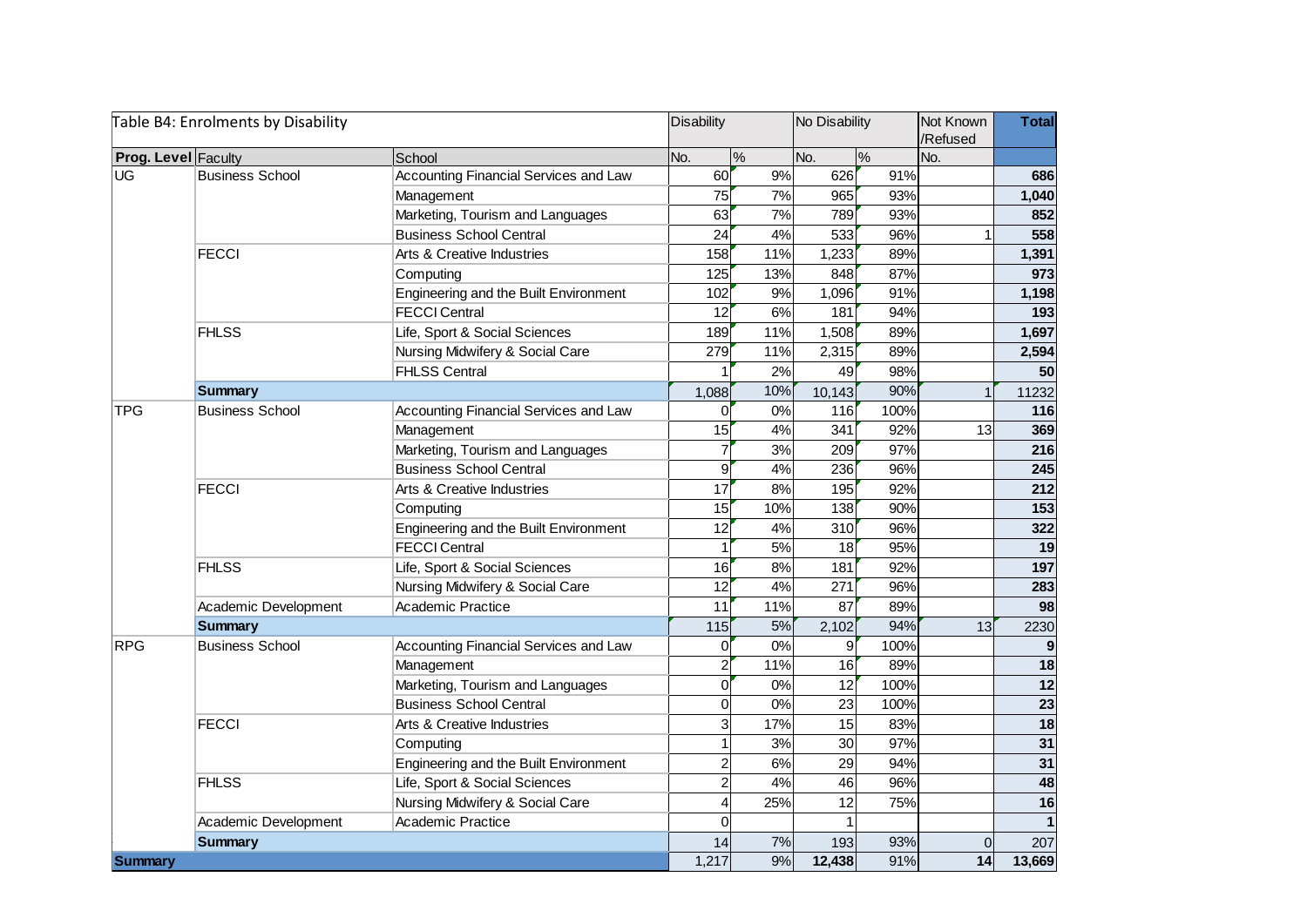|                            | Table B4: Enrolments by Disability |                                       | <b>Disability</b>       |                 | No Disability   |               | Not Known<br>/Refused | <b>Total</b>    |
|----------------------------|------------------------------------|---------------------------------------|-------------------------|-----------------|-----------------|---------------|-----------------------|-----------------|
| <b>Prog. Level Faculty</b> |                                    | School                                | No.                     | $\frac{8}{\pi}$ | No.             | $\frac{9}{6}$ | No.                   |                 |
| <b>UG</b>                  | <b>Business School</b>             | Accounting Financial Services and Law | 60                      | 9%              | 626             | 91%           |                       | 686             |
|                            |                                    | Management                            | 75                      | 7%              | 965             | 93%           |                       | 1,040           |
|                            |                                    | Marketing, Tourism and Languages      | 63                      | 7%              | 789             | 93%           |                       | 852             |
|                            |                                    | <b>Business School Central</b>        | 24                      | 4%              | 533             | 96%           |                       | 558             |
|                            | <b>FECCI</b>                       | Arts & Creative Industries            | 158                     | 11%             | 1,233           | 89%           |                       | 1,391           |
|                            |                                    | Computing                             | 125                     | 13%             | 848             | 87%           |                       | 973             |
|                            |                                    | Engineering and the Built Environment | 102                     | 9%              | 1,096           | 91%           |                       | 1,198           |
|                            |                                    | <b>FECCI Central</b>                  | 12                      | 6%              | 181             | 94%           |                       | 193             |
|                            | <b>FHLSS</b>                       | Life, Sport & Social Sciences         | 189                     | 11%             | 1,508           | 89%           |                       | 1,697           |
|                            |                                    | Nursing Midwifery & Social Care       | 279                     | 11%             | 2,315           | 89%           |                       | 2,594           |
|                            |                                    | <b>FHLSS Central</b>                  |                         | 2%              | 49              | 98%           |                       | 50              |
|                            | <b>Summary</b>                     |                                       | 1,088                   | 10%             | 10,143          | 90%           | $\mathbf 1$           | 11232           |
| TPG                        | <b>Business School</b>             | Accounting Financial Services and Law | $\Omega$                | 0%              | 116             | 100%          |                       | 116             |
|                            |                                    | Management                            | 15                      | 4%              | 341             | 92%           | 13                    | 369             |
|                            |                                    | Marketing, Tourism and Languages      | 7                       | 3%              | 209             | 97%           |                       | 216             |
|                            |                                    | <b>Business School Central</b>        | 9                       | 4%              | 236             | 96%           |                       | 245             |
|                            | <b>FECCI</b>                       | Arts & Creative Industries            | 17                      | 8%              | 195             | 92%           |                       | 212             |
|                            |                                    | Computing                             | 15                      | 10%             | 138             | 90%           |                       | 153             |
|                            |                                    | Engineering and the Built Environment | 12                      | 4%              | 310             | 96%           |                       | 322             |
|                            |                                    | <b>FECCI Central</b>                  | $\mathbf{1}$            | 5%              | 18              | 95%           |                       | 19              |
|                            | <b>FHLSS</b>                       | Life, Sport & Social Sciences         | 16                      | 8%              | 181             | 92%           |                       | 197             |
|                            |                                    | Nursing Midwifery & Social Care       | 12                      | 4%              | 271             | 96%           |                       | 283             |
|                            | Academic Development               | Academic Practice                     | 11                      | 11%             | 87              | 89%           |                       | 98              |
|                            | <b>Summary</b>                     |                                       | 115                     | 5%              | 2,102           | 94%           | 13                    | 2230            |
| <b>RPG</b>                 | <b>Business School</b>             | Accounting Financial Services and Law | 0                       | 0%              | 9               | 100%          |                       | 9               |
|                            |                                    | Management                            | $\boldsymbol{2}$        | 11%             | 16              | 89%           |                       | 18              |
|                            |                                    | Marketing, Tourism and Languages      | 0                       | 0%              | 12              | 100%          |                       | 12              |
|                            |                                    | <b>Business School Central</b>        | 0                       | 0%              | 23              | 100%          |                       | $\overline{23}$ |
|                            | <b>FECCI</b>                       | Arts & Creative Industries            | 3                       | 17%             | 15              | 83%           |                       | 18              |
|                            |                                    | Computing                             | $\mathbf{1}$            | 3%              | 30              | 97%           |                       | 31              |
|                            |                                    | Engineering and the Built Environment | $\overline{c}$          | 6%              | 29              | 94%           |                       | 31              |
|                            | <b>FHLSS</b>                       | Life, Sport & Social Sciences         | $\overline{c}$          | 4%              | 46              | 96%           |                       | 48              |
|                            |                                    | Nursing Midwifery & Social Care       | $\overline{\mathbf{4}}$ | 25%             | $\overline{12}$ | 75%           |                       | $\overline{16}$ |
|                            | Academic Development               | Academic Practice                     | $\Omega$                |                 |                 |               |                       | $\mathbf{1}$    |
|                            | <b>Summary</b>                     |                                       | 14                      | 7%              | 193             | 93%           | $\Omega$              | 207             |
| <b>Summary</b>             |                                    |                                       | 1,217                   | 9%              | 12,438          | 91%           | 14                    | 13,669          |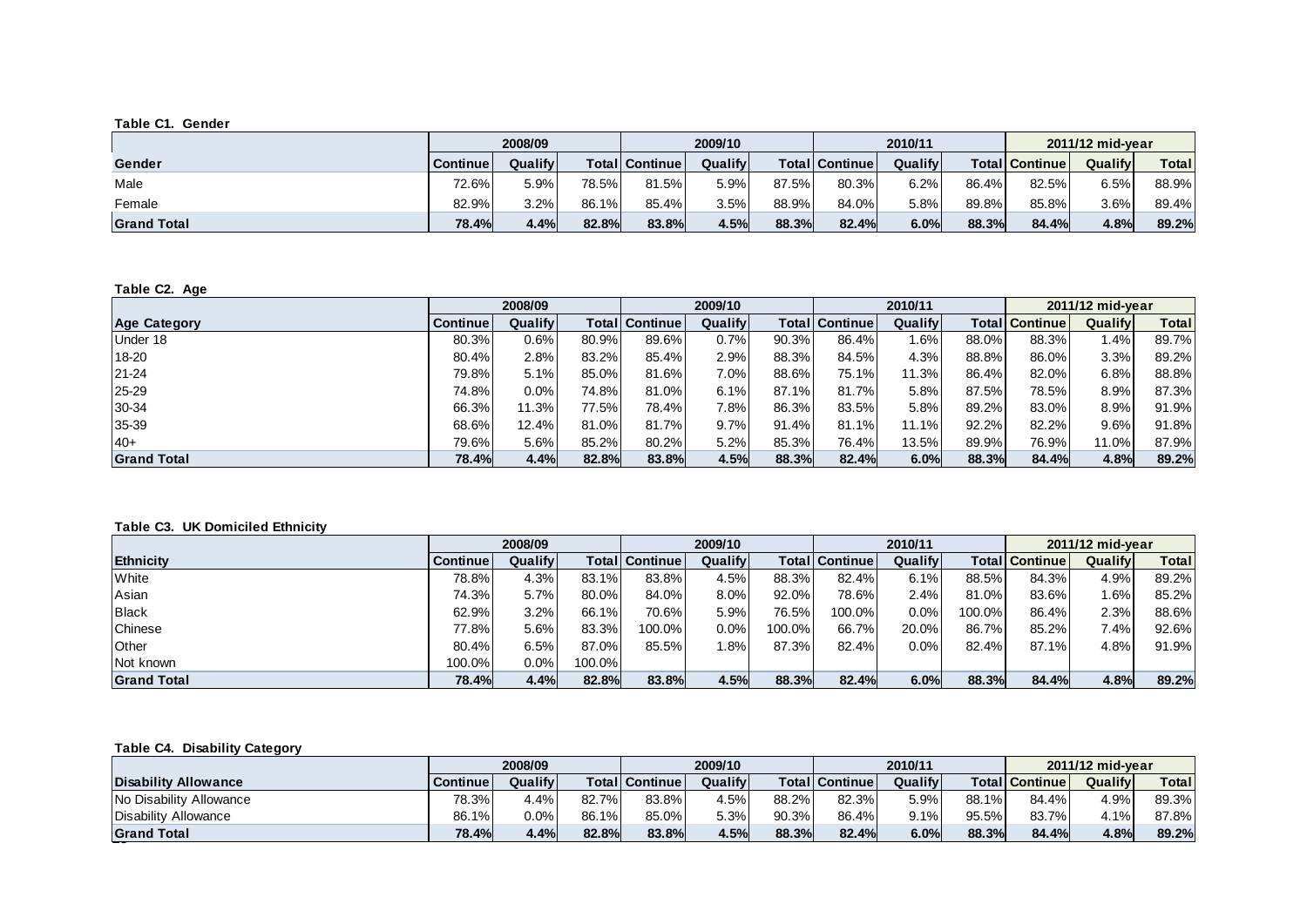#### **Table C1. Gender**

|                    |                 | 2008/09 |       |                         | 2009/10 |        |                 | 2010/11 |        | 2011/12 mid-vear      |         |              |  |
|--------------------|-----------------|---------|-------|-------------------------|---------|--------|-----------------|---------|--------|-----------------------|---------|--------------|--|
| Gender             | <b>Continue</b> | Qualify |       | <b>Totall Continuel</b> | Qualify |        | Totall Continue | Qualify |        | <b>Total Continue</b> | Qualify | <b>Total</b> |  |
| Male               | 72.6%           | 5.9%    | 78.5% | 81.5%                   | 5.9%    | 87.5%l | 80.3%           | 6.2%    | 86.4%1 | 82.5%                 | 6.5%    | 88.9%        |  |
| Female             | 82.9%           | 3.2%    | 86.1% | 85.4%                   | 3.5%    | 88.9%  | 84.0%           | 5.8%    | 89.8%  | 85.8%                 | 3.6%    | 89.4%        |  |
| <b>Grand Total</b> | 78.4%           | 4.4%    | 82.8% | 83.8%                   | 4.5%    | 88.3%  | 82.4%           | 6.0%    | 88.3%  | 84.4%                 | 4.8%    | 89.2%        |  |

#### **Table C2. Age**

|                     |                 | 2008/09 |       | 2009/10               |         |       |                | 2010/11 |       | 2011/12 mid-vear |         |              |
|---------------------|-----------------|---------|-------|-----------------------|---------|-------|----------------|---------|-------|------------------|---------|--------------|
| <b>Age Category</b> | <b>Continue</b> | Qualify |       | <b>Total</b> Continue | Qualify |       | Total Continue | Qualify | Total | <b>Continue</b>  | Qualify | <b>Total</b> |
| Under 18            | 80.3%           | 0.6%    | 80.9% | 89.6%                 | 0.7%    | 90.3% | 86.4%          | .6%     | 88.0% | 88.3%            | . 4%    | 89.7%        |
| 18-20               | 80.4%           | 2.8%    | 83.2% | 85.4%                 | 2.9%    | 88.3% | 84.5%          | 4.3%    | 88.8% | 86.0%            | 3.3%    | 89.2%        |
| $21 - 24$           | 79.8%           | 5.1%    | 85.0% | $81.6\%$              | 7.0%    | 88.6% | 75.1%          | 11.3%   | 86.4% | 82.0%            | 6.8%    | 88.8%        |
| 25-29               | 74.8%           | $0.0\%$ | 74.8% | 81.0%                 | 6.1%    | 87.1% | 81.7%          | 5.8%    | 87.5% | 78.5%            | 8.9%    | 87.3%        |
| 30-34               | 66.3%           | 11.3%   | 77.5% | 78.4%                 | 7.8%    | 86.3% | 83.5%          | 5.8%    | 89.2% | 83.0%            | 8.9%    | 91.9%        |
| 35-39               | 68.6%           | 12.4%   | 81.0% | 81.7%                 | 9.7%    | 91.4% | 81.1%          | 11.1%   | 92.2% | 82.2%            | 9.6%    | 91.8%        |
| $40+$               | 79.6%           | 5.6%    | 85.2% | 80.2%                 | 5.2%    | 85.3% | 76.4%          | 13.5%   | 89.9% | 76.9%            | 11.0%I  | 87.9%        |
| <b>Grand Total</b>  | 78.4%           | 4.4%    | 82.8% | 83.8%                 | 4.5%    | 88.3% | 82.4%          | 6.0%    | 88.3% | 84.4%            | 4.8%    | 89.2%        |

#### **Table C3. UK Domiciled Ethnicity**

|                    |          | 2008/09 |           | 2009/10                |         |        |                        | 2010/11 |        | 2011/12 mid-vear |         |              |
|--------------------|----------|---------|-----------|------------------------|---------|--------|------------------------|---------|--------|------------------|---------|--------------|
| <b>Ethnicity</b>   | Continue | Qualify |           | <b>Totall Continue</b> | Qualify |        | <b>Totall Continue</b> | Qualify | Total  | <b>Continue</b>  | Qualify | <b>Total</b> |
| White              | 78.8%    | 4.3%    | 83.1%     | 83.8%                  | 4.5%    | 88.3%  | 82.4%                  | 6.1%    | 88.5%  | 84.3%            | 4.9%    | 89.2%        |
| Asian              | 74.3%    | 5.7%    | 80.0%     | 84.0%                  | 8.0%    | 92.0%  | 78.6%                  | $2.4\%$ | 81.0%  | 83.6%            | $1.6\%$ | 85.2%        |
| Black              | 62.9%    | 3.2%    | 66.1%     | 70.6%                  | 5.9%    | 76.5%  | 100.0%                 | $0.0\%$ | 100.0% | 86.4%            | 2.3%    | 88.6%        |
| Chinese            | 77.8%    | 5.6%    | 83.3%     | 100.0%                 | $0.0\%$ | 100.0% | 66.7%                  | 20.0%   | 86.7%  | 85.2%            | 7.4%    | 92.6%        |
| Other              | 80.4%    | 6.5%    | 87.0%     | 85.5%                  | 1.8%    | 87.3%  | 82.4%                  | $0.0\%$ | 82.4%  | 87.1%            | 4.8%    | 91.9%        |
| Not known          | 100.0%   | $0.0\%$ | $100.0\%$ |                        |         |        |                        |         |        |                  |         |              |
| <b>Grand Total</b> | 78.4%    | 4.4%    | 82.8%     | 83.8%                  | 4.5%    | 88.3%  | 82.4%                  | 6.0%    | 88.3%  | 84.4%            | 4.8%    | 89.2%        |

#### **Table C4. Disability Category**

|                                |          | 2008/09 |       | 2009/10                 |         |       |                         | 2010/11 |       | 2011/12 mid-vear      |         |        |
|--------------------------------|----------|---------|-------|-------------------------|---------|-------|-------------------------|---------|-------|-----------------------|---------|--------|
| <b>Disability Allowance</b>    | Continue | Qualify |       | <b>Totall Continuel</b> | Qualify |       | <b>Totall Continuel</b> | Qualify |       | <b>Total Continue</b> | Qualify | Total  |
| <b>No Disability Allowance</b> | 78.3%    | 4.4%    | 82.7% | 83.8%                   | 4.5%    | 88.2% | 82.3%                   | 5.9%    | 88.1% | 84.4%                 | 4.9%    | 89.3%  |
| Disability Allowance           | 86.1%    | $0.0\%$ | 86.1% | 85.0%                   | 5.3%    | 90.3% | 86.4%                   | 9.1%    | 95.5% | 83.7%                 | 4.1%    | 87.8%1 |
| <b>Grand Total</b>             | 78.4%    | 4.4%    | 82.8% | 83.8%                   | 4.5%    | 88.3% | 82.4%                   | 6.0%    | 88.3% | 84.4%                 | 4.8%    | 89.2%  |